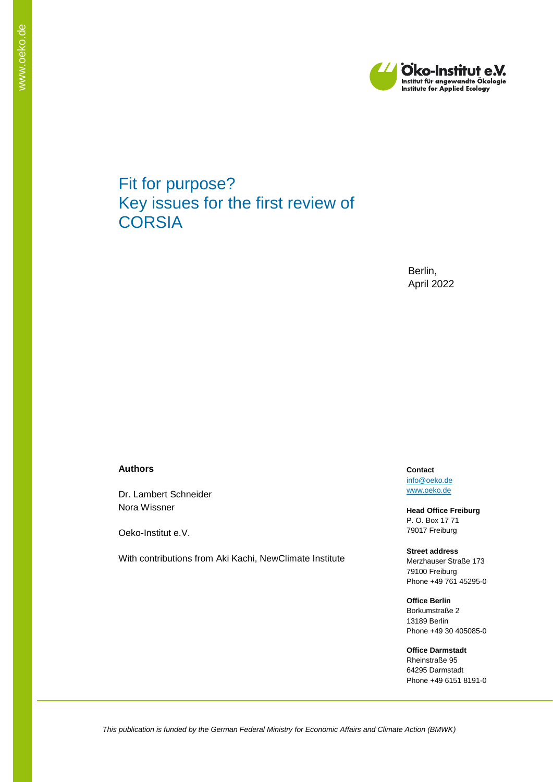

# Fit for purpose? Key issues for the first review of **CORSIA**

Berlin, April 2022

#### **Authors**

Dr. Lambert Schneider Nora Wissner

Oeko-Institut e.V.

With contributions from Aki Kachi, NewClimate Institute

**Contact** [info@oeko.de](mailto:info@oeko.de) [www.oeko.de](http://www.oeko.de/)

**Head Office Freiburg** P. O. Box 17 71 79017 Freiburg

**Street address** Merzhauser Straße 173 79100 Freiburg Phone +49 761 45295-0

**Office Berlin** Borkumstraße 2 13189 Berlin Phone +49 30 405085-0

**Office Darmstadt** Rheinstraße 95 64295 Darmstadt Phone +49 6151 8191-0

*This publication is funded by the German Federal Ministry for Economic Affairs and Climate Action (BMWK)*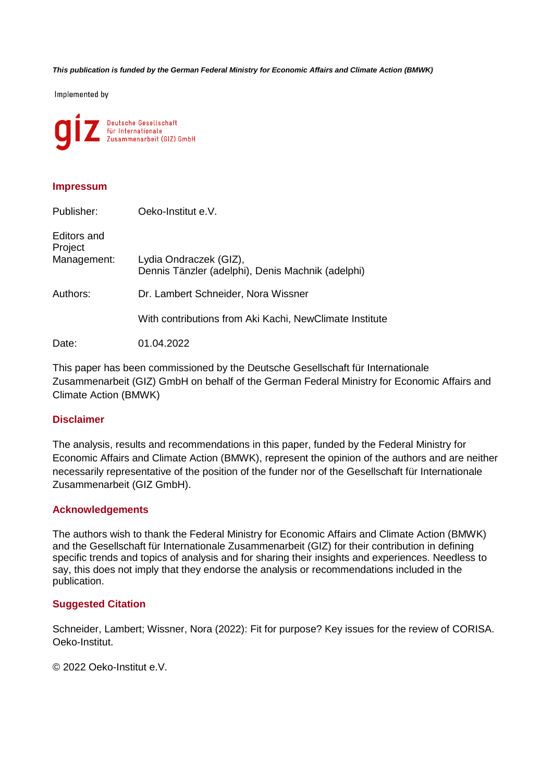*This publication is funded by the German Federal Ministry for Economic Affairs and Climate Action (BMWK)*

Implemented by



#### **Impressum**

| Publisher:                            | Oeko-Institut e.V.                                                          |
|---------------------------------------|-----------------------------------------------------------------------------|
| Editors and<br>Project<br>Management: | Lydia Ondraczek (GIZ),<br>Dennis Tänzler (adelphi), Denis Machnik (adelphi) |
| Authors:                              | Dr. Lambert Schneider, Nora Wissner                                         |
|                                       | With contributions from Aki Kachi, NewClimate Institute                     |
| Date:                                 | 01.04.2022                                                                  |

This paper has been commissioned by the Deutsche Gesellschaft für Internationale Zusammenarbeit (GIZ) GmbH on behalf of the German Federal Ministry for Economic Affairs and Climate Action (BMWK)

#### **Disclaimer**

The analysis, results and recommendations in this paper, funded by the Federal Ministry for Economic Affairs and Climate Action (BMWK), represent the opinion of the authors and are neither necessarily representative of the position of the funder nor of the Gesellschaft für Internationale Zusammenarbeit (GIZ GmbH).

#### **Acknowledgements**

The authors wish to thank the Federal Ministry for Economic Affairs and Climate Action (BMWK) and the Gesellschaft für Internationale Zusammenarbeit (GIZ) for their contribution in defining specific trends and topics of analysis and for sharing their insights and experiences. Needless to say, this does not imply that they endorse the analysis or recommendations included in the publication.

#### **Suggested Citation**

Schneider, Lambert; Wissner, Nora (2022): Fit for purpose? Key issues for the review of CORISA. Oeko-Institut.

© 2022 Oeko-Institut e.V.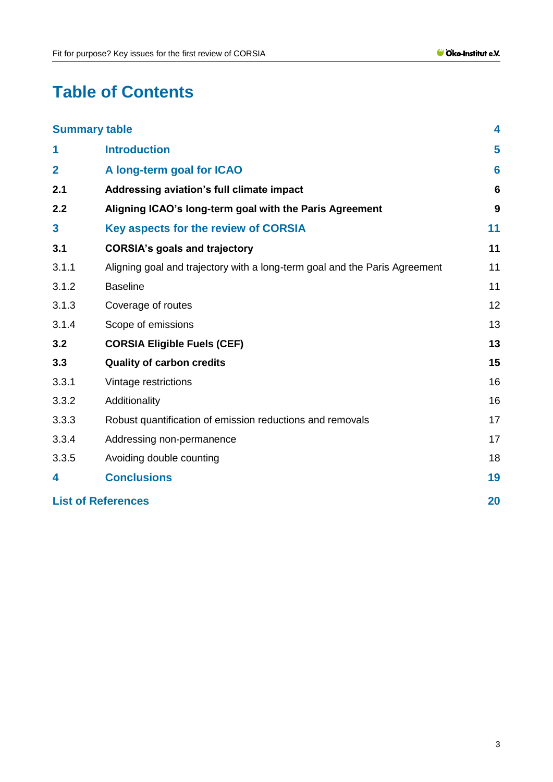# **Table of Contents**

|                         | <b>Summary table</b>                                                       | 4  |
|-------------------------|----------------------------------------------------------------------------|----|
| 1                       | <b>Introduction</b>                                                        | 5  |
| $\overline{2}$          | A long-term goal for ICAO                                                  | 6  |
| 2.1                     | Addressing aviation's full climate impact                                  | 6  |
| 2.2                     | Aligning ICAO's long-term goal with the Paris Agreement                    | 9  |
| $\overline{\mathbf{3}}$ | Key aspects for the review of CORSIA                                       | 11 |
| 3.1                     | <b>CORSIA's goals and trajectory</b>                                       | 11 |
| 3.1.1                   | Aligning goal and trajectory with a long-term goal and the Paris Agreement | 11 |
| 3.1.2                   | <b>Baseline</b>                                                            | 11 |
| 3.1.3                   | Coverage of routes                                                         | 12 |
| 3.1.4                   | Scope of emissions                                                         | 13 |
| 3.2                     | <b>CORSIA Eligible Fuels (CEF)</b>                                         | 13 |
| 3.3                     | <b>Quality of carbon credits</b>                                           | 15 |
| 3.3.1                   | Vintage restrictions                                                       | 16 |
| 3.3.2                   | Additionality                                                              | 16 |
| 3.3.3                   | Robust quantification of emission reductions and removals                  | 17 |
| 3.3.4                   | Addressing non-permanence                                                  | 17 |
| 3.3.5                   | Avoiding double counting                                                   | 18 |
| 4                       | <b>Conclusions</b>                                                         | 19 |
|                         | <b>List of References</b>                                                  | 20 |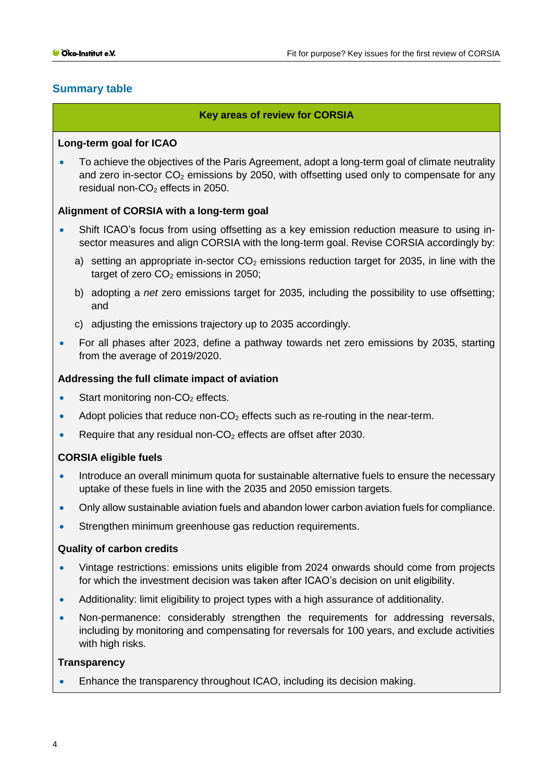# <span id="page-3-0"></span>**Summary table**

### **Key areas of review for CORSIA**

#### **Long-term goal for ICAO**

• To achieve the objectives of the Paris Agreement, adopt a long-term goal of climate neutrality and zero in-sector  $CO<sub>2</sub>$  emissions by 2050, with offsetting used only to compensate for any residual non- $CO<sub>2</sub>$  effects in 2050.

### **Alignment of CORSIA with a long-term goal**

- Shift ICAO's focus from using offsetting as a key emission reduction measure to using insector measures and align CORSIA with the long-term goal. Revise CORSIA accordingly by:
	- a) setting an appropriate in-sector  $CO<sub>2</sub>$  emissions reduction target for 2035, in line with the target of zero  $CO<sub>2</sub>$  emissions in 2050;
	- b) adopting a *net* zero emissions target for 2035, including the possibility to use offsetting; and
	- c) adjusting the emissions trajectory up to 2035 accordingly.
- For all phases after 2023, define a pathway towards net zero emissions by 2035, starting from the average of 2019/2020.

#### **Addressing the full climate impact of aviation**

- Start monitoring non-CO<sub>2</sub> effects.
- Adopt policies that reduce non- $CO<sub>2</sub>$  effects such as re-routing in the near-term.
- Require that any residual non- $CO<sub>2</sub>$  effects are offset after 2030.

### **CORSIA eligible fuels**

- Introduce an overall minimum quota for sustainable alternative fuels to ensure the necessary uptake of these fuels in line with the 2035 and 2050 emission targets.
- Only allow sustainable aviation fuels and abandon lower carbon aviation fuels for compliance.
- Strengthen minimum greenhouse gas reduction requirements.

#### **Quality of carbon credits**

- Vintage restrictions: emissions units eligible from 2024 onwards should come from projects for which the investment decision was taken after ICAO's decision on unit eligibility.
- Additionality: limit eligibility to project types with a high assurance of additionality.
- Non-permanence: considerably strengthen the requirements for addressing reversals, including by monitoring and compensating for reversals for 100 years, and exclude activities with high risks.

#### **Transparency**

• Enhance the transparency throughout ICAO, including its decision making.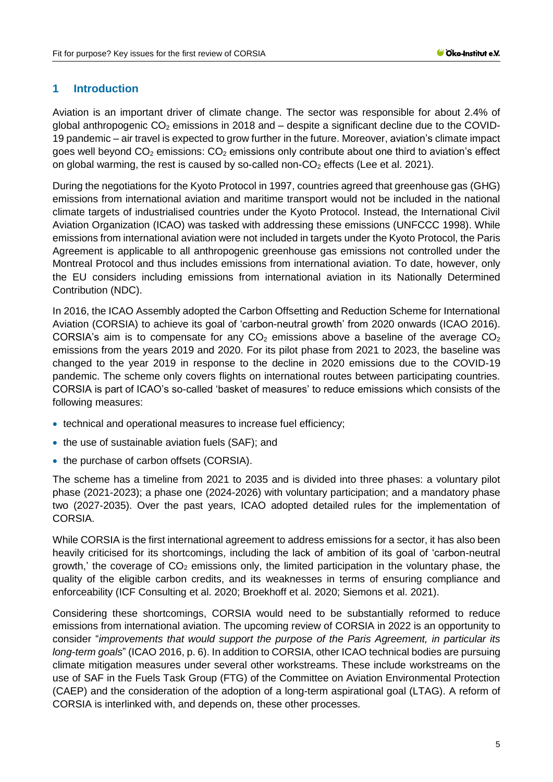## <span id="page-4-0"></span>**1 Introduction**

Aviation is an important driver of climate change. The sector was responsible for about 2.4% of global anthropogenic  $CO<sub>2</sub>$  emissions in 2018 and  $-$  despite a significant decline due to the COVID-19 pandemic – air travel is expected to grow further in the future. Moreover, aviation's climate impact goes well beyond  $CO<sub>2</sub>$  emissions:  $CO<sub>2</sub>$  emissions only contribute about one third to aviation's effect on global warming, the rest is caused by so-called non- $CO<sub>2</sub>$  effects [\(Lee et al. 2021\).](#page-23-0)

During the negotiations for the Kyoto Protocol in 1997, countries agreed that greenhouse gas (GHG) emissions from international aviation and maritime transport would not be included in the national climate targets of industrialised countries under the Kyoto Protocol. Instead, the International Civil Aviation Organization (ICAO) was tasked with addressing these emissions [\(UNFCCC 1998\).](#page-24-0) While emissions from international aviation were not included in targets under the Kyoto Protocol, the Paris Agreement is applicable to all anthropogenic greenhouse gas emissions not controlled under the Montreal Protocol and thus includes emissions from international aviation. To date, however, only the EU considers including emissions from international aviation in its Nationally Determined Contribution (NDC).

In 2016, the ICAO Assembly adopted the Carbon Offsetting and Reduction Scheme for International Aviation (CORSIA) to achieve its goal of 'carbon-neutral growth' from 2020 onwards [\(ICAO 2016\).](#page-21-0) CORSIA's aim is to compensate for any  $CO<sub>2</sub>$  emissions above a baseline of the average  $CO<sub>2</sub>$ emissions from the years 2019 and 2020. For its pilot phase from 2021 to 2023, the baseline was changed to the year 2019 in response to the decline in 2020 emissions due to the COVID-19 pandemic. The scheme only covers flights on international routes between participating countries. CORSIA is part of ICAO's so-called 'basket of measures' to reduce emissions which consists of the following measures:

- technical and operational measures to increase fuel efficiency;
- the use of sustainable aviation fuels (SAF); and
- the purchase of carbon offsets (CORSIA).

The scheme has a timeline from 2021 to 2035 and is divided into three phases: a voluntary pilot phase (2021-2023); a phase one (2024-2026) with voluntary participation; and a mandatory phase two (2027-2035). Over the past years, ICAO adopted detailed rules for the implementation of CORSIA.

While CORSIA is the first international agreement to address emissions for a sector, it has also been heavily criticised for its shortcomings, including the lack of ambition of its goal of 'carbon-neutral growth,' the coverage of  $CO<sub>2</sub>$  emissions only, the limited participation in the voluntary phase, the quality of the eligible carbon credits, and its weaknesses in terms of ensuring compliance and enforceability [\(ICF Consulting et al. 2020](#page-22-0)[; Broekhoff et al. 2020](#page-19-1)[; Siemons et al. 2021\).](#page-24-1)

Considering these shortcomings, CORSIA would need to be substantially reformed to reduce emissions from international aviation. The upcoming review of CORSIA in 2022 is an opportunity to consider "*improvements that would support the purpose of the Paris Agreement, in particular its long-term goals*" [\(ICAO 2016, p. 6\).](#page-21-0) In addition to CORSIA, other ICAO technical bodies are pursuing climate mitigation measures under several other workstreams. These include workstreams on the use of SAF in the Fuels Task Group (FTG) of the Committee on Aviation Environmental Protection (CAEP) and the consideration of the adoption of a long-term aspirational goal (LTAG). A reform of CORSIA is interlinked with, and depends on, these other processes.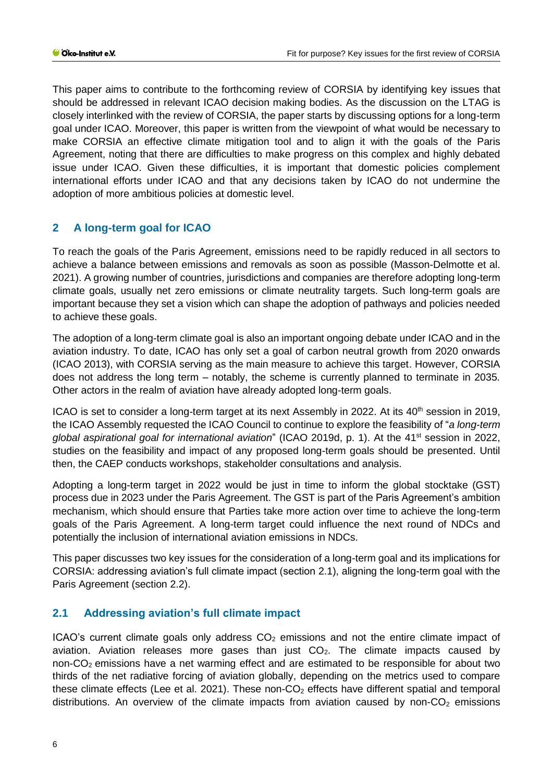This paper aims to contribute to the forthcoming review of CORSIA by identifying key issues that should be addressed in relevant ICAO decision making bodies. As the discussion on the LTAG is closely interlinked with the review of CORSIA, the paper starts by discussing options for a long-term goal under ICAO. Moreover, this paper is written from the viewpoint of what would be necessary to make CORSIA an effective climate mitigation tool and to align it with the goals of the Paris Agreement, noting that there are difficulties to make progress on this complex and highly debated issue under ICAO. Given these difficulties, it is important that domestic policies complement international efforts under ICAO and that any decisions taken by ICAO do not undermine the adoption of more ambitious policies at domestic level.

# <span id="page-5-0"></span>**2 A long-term goal for ICAO**

To reach the goals of the Paris Agreement, emissions need to be rapidly reduced in all sectors to achieve a balance between emissions and removals as soon as possible [\(Masson-Delmotte et al.](#page-23-1)  [2021\).](#page-23-1) A growing number of countries, jurisdictions and companies are therefore adopting long-term climate goals, usually net zero emissions or climate neutrality targets. Such long-term goals are important because they set a vision which can shape the adoption of pathways and policies needed to achieve these goals.

The adoption of a long-term climate goal is also an important ongoing debate under ICAO and in the aviation industry. To date, ICAO has only set a goal of carbon neutral growth from 2020 onwards [\(ICAO 2013\),](#page-22-1) with CORSIA serving as the main measure to achieve this target. However, CORSIA does not address the long term – notably, the scheme is currently planned to terminate in 2035. Other actors in the realm of aviation have already adopted long-term goals.

ICAO is set to consider a long-term target at its next Assembly in 2022. At its 40<sup>th</sup> session in 2019, the ICAO Assembly requested the ICAO Council to continue to explore the feasibility of "*a long-term global aspirational goal for international aviation*" [\(ICAO 2019d, p. 1\).](#page-21-1) At the 41st session in 2022, studies on the feasibility and impact of any proposed long-term goals should be presented. Until then, the CAEP conducts workshops, stakeholder consultations and analysis.

Adopting a long-term target in 2022 would be just in time to inform the global stocktake (GST) process due in 2023 under the Paris Agreement. The GST is part of the Paris Agreement's ambition mechanism, which should ensure that Parties take more action over time to achieve the long-term goals of the Paris Agreement. A long-term target could influence the next round of NDCs and potentially the inclusion of international aviation emissions in NDCs.

This paper discusses two key issues for the consideration of a long-term goal and its implications for CORSIA: addressing aviation's full climate impact (section [2.1\)](#page-5-1), aligning the long-term goal with the Paris Agreement (section [2.2\)](#page-8-0).

# <span id="page-5-1"></span>**2.1 Addressing aviation's full climate impact**

ICAO's current climate goals only address  $CO<sub>2</sub>$  emissions and not the entire climate impact of aviation. Aviation releases more gases than just  $CO<sub>2</sub>$ . The climate impacts caused by non- $CO<sub>2</sub>$  emissions have a net warming effect and are estimated to be responsible for about two thirds of the net radiative forcing of aviation globally, depending on the metrics used to compare these climate effects [\(Lee et al. 2021\).](#page-23-0) These non- $CO<sub>2</sub>$  effects have different spatial and temporal distributions. An overview of the climate impacts from aviation caused by non- $CO<sub>2</sub>$  emissions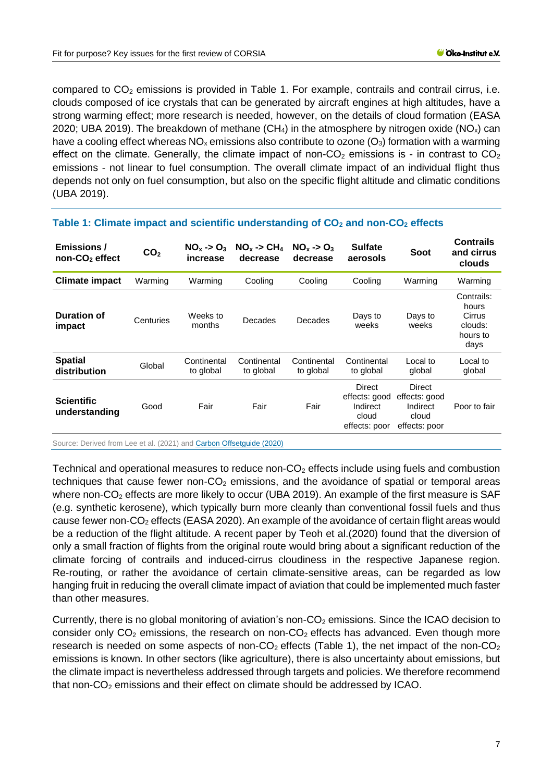compared to  $CO<sub>2</sub>$  emissions is provided in [Table 1.](#page-6-0) For example, contrails and contrail cirrus, i.e. clouds composed of ice crystals that can be generated by aircraft engines at high altitudes, have a strong warming effect; more research is needed, however, on the details of cloud formation [\(EASA](#page-19-2)  [2020](#page-19-2)[; UBA 2019\).](#page-24-2) The breakdown of methane  $(CH_4)$  in the atmosphere by nitrogen oxide  $(NO_x)$  can have a cooling effect whereas  $NO_x$  emissions also contribute to ozone  $(O_3)$  formation with a warming effect on the climate. Generally, the climate impact of non- $CO<sub>2</sub>$  emissions is - in contrast to  $CO<sub>2</sub>$ emissions - not linear to fuel consumption. The overall climate impact of an individual flight thus depends not only on fuel consumption, but also on the specific flight altitude and climatic conditions [\(UBA 2019\).](#page-24-2)

| Emissions /<br>non-CO <sub>2</sub> effect | CO <sub>2</sub> | $NO_{x} \rightarrow O_{3}$<br>increase | $NO_{x} \rightarrow CH_{4}$<br>decrease | $NO_{x} \rightarrow O_{3}$<br>decrease | <b>Sulfate</b><br>aerosols                                    | Soot                                                          | <b>Contrails</b><br>and cirrus<br>clouds                     |
|-------------------------------------------|-----------------|----------------------------------------|-----------------------------------------|----------------------------------------|---------------------------------------------------------------|---------------------------------------------------------------|--------------------------------------------------------------|
| <b>Climate impact</b>                     | Warming         | Warming                                | Cooling                                 | Cooling                                | Cooling                                                       | Warming                                                       | Warming                                                      |
| <b>Duration of</b><br>impact              | Centuries       | Weeks to<br>months                     | Decades                                 | Decades                                | Days to<br>weeks                                              | Days to<br>weeks                                              | Contrails:<br>hours<br>Cirrus<br>clouds:<br>hours to<br>days |
| <b>Spatial</b><br>distribution            | Global          | Continental<br>to global               | Continental<br>to global                | Continental<br>to global               | Continental<br>to global                                      | Local to<br>global                                            | Local to<br>global                                           |
| <b>Scientific</b><br>understanding        | Good            | Fair                                   | Fair                                    | Fair                                   | Direct<br>effects: good<br>Indirect<br>cloud<br>effects: poor | Direct<br>effects: good<br>Indirect<br>cloud<br>effects: poor | Poor to fair                                                 |

## <span id="page-6-0"></span>**Table 1: Climate impact and scientific understanding of CO<sup>2</sup> and non-CO<sup>2</sup> effects**

Source: Derived from [Lee et al.](#page-23-0) [\(2021\)](#page-23-0) an[d Carbon Offsetguide \(2020\)](https://www.offsetguide.org/understanding-carbon-offsets/air-travel-climate/climate-impacts-from-aviation/total-climate-impact-from-aviation/)

Technical and operational measures to reduce non- $CO<sub>2</sub>$  effects include using fuels and combustion techniques that cause fewer non- $CO<sub>2</sub>$  emissions, and the avoidance of spatial or temporal areas where non-CO<sub>2</sub> effects are more likely to occur [\(UBA 2019\).](#page-24-2) An example of the first measure is SAF (e.g. synthetic kerosene), which typically burn more cleanly than conventional fossil fuels and thus cause fewer non-CO<sub>2</sub> effects [\(EASA 2020\).](#page-19-2) An example of the avoidance of certain flight areas would be a reduction of the flight altitude. A recent paper by [Teoh et al.\(2020\)](#page-24-3) found that the diversion of only a small fraction of flights from the original route would bring about a significant reduction of the climate forcing of contrails and induced-cirrus cloudiness in the respective Japanese region. Re-routing, or rather the avoidance of certain climate-sensitive areas, can be regarded as low hanging fruit in reducing the overall climate impact of aviation that could be implemented much faster than other measures.

Currently, there is no global monitoring of aviation's non- $CO<sub>2</sub>$  emissions. Since the ICAO decision to consider only  $CO<sub>2</sub>$  emissions, the research on non- $CO<sub>2</sub>$  effects has advanced. Even though more research is needed on some aspects of non- $CO<sub>2</sub>$  effects [\(Table 1\)](#page-6-0), the net impact of the non- $CO<sub>2</sub>$ emissions is known. In other sectors (like agriculture), there is also uncertainty about emissions, but the climate impact is nevertheless addressed through targets and policies. We therefore recommend that non- $CO<sub>2</sub>$  emissions and their effect on climate should be addressed by ICAO.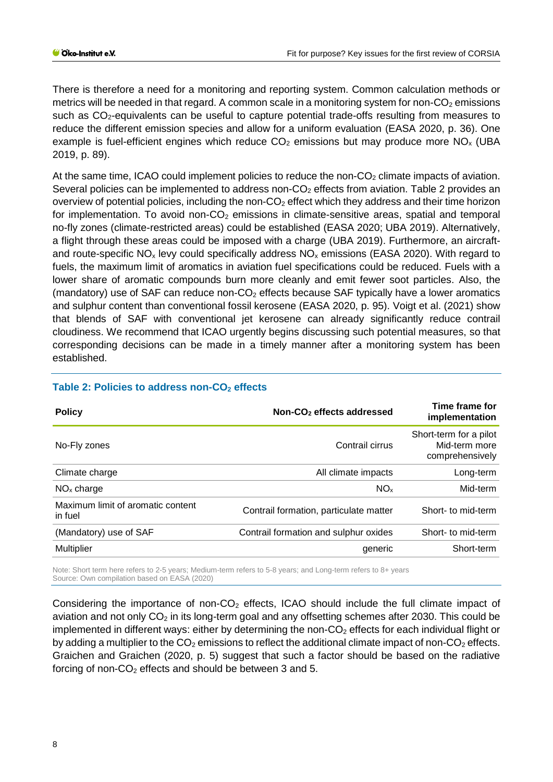There is therefore a need for a monitoring and reporting system. Common calculation methods or metrics will be needed in that regard. A common scale in a monitoring system for non- $CO<sub>2</sub>$  emissions such as CO<sub>2</sub>-equivalents can be useful to capture potential trade-offs resulting from measures to reduce the different emission species and allow for a uniform evaluation [\(EASA 2020, p. 36\).](#page-19-2) One example is fuel-efficient engines which reduce  $CO<sub>2</sub>$  emissions but may produce more  $NO<sub>x</sub>$  (UBA [2019, p. 89\).](#page-24-2)

At the same time, ICAO could implement policies to reduce the non- $CO<sub>2</sub>$  climate impacts of aviation. Several policies can be implemented to address non- $CO<sub>2</sub>$  effects from aviation. [Table 2](#page-7-0) provides an overview of potential policies, including the non- $CO<sub>2</sub>$  effect which they address and their time horizon for implementation. To avoid non- $CO<sub>2</sub>$  emissions in climate-sensitive areas, spatial and temporal no-fly zones (climate-restricted areas) could be established [\(EASA 2020](#page-19-2)[; UBA 2019\).](#page-24-2) Alternatively, a flight through these areas could be imposed with a charge [\(UBA 2019\).](#page-24-2) Furthermore, an aircraftand route-specific  $NO_x$  levy could specifically address  $NO_x$  emissions [\(EASA 2020\).](#page-19-2) With regard to fuels, the maximum limit of aromatics in aviation fuel specifications could be reduced. Fuels with a lower share of aromatic compounds burn more cleanly and emit fewer soot particles. Also, the (mandatory) use of SAF can reduce non- $CO<sub>2</sub>$  effects because SAF typically have a lower aromatics and sulphur content than conventional fossil kerosene [\(EASA 2020, p. 95\).](#page-19-2) [Voigt et al.](#page-24-4) [\(2021\)](#page-24-4) show that blends of SAF with conventional jet kerosene can already significantly reduce contrail cloudiness. We recommend that ICAO urgently begins discussing such potential measures, so that corresponding decisions can be made in a timely manner after a monitoring system has been established.

| <b>Policy</b>                                | Non-CO <sub>2</sub> effects addressed  | Time frame for<br>implementation                           |
|----------------------------------------------|----------------------------------------|------------------------------------------------------------|
| No-Fly zones                                 | Contrail cirrus                        | Short-term for a pilot<br>Mid-term more<br>comprehensively |
| Climate charge                               | All climate impacts                    | Long-term                                                  |
| $NOx$ charge                                 | NO <sub>x</sub>                        | Mid-term                                                   |
| Maximum limit of aromatic content<br>in fuel | Contrail formation, particulate matter | Short- to mid-term                                         |
| (Mandatory) use of SAF                       | Contrail formation and sulphur oxides  | Short- to mid-term                                         |
| <b>Multiplier</b>                            | generic                                | Short-term                                                 |
|                                              |                                        |                                                            |

# <span id="page-7-0"></span>**Table 2: Policies to address non-CO<sup>2</sup> effects**

Note: Short term here refers to 2-5 years; Medium-term refers to 5-8 years; and Long-term refers to 8+ years Source: Own compilation based on [EASA](#page-19-2) [\(2020\)](#page-19-2)

Considering the importance of non- $CO<sub>2</sub>$  effects, ICAO should include the full climate impact of aviation and not only  $CO<sub>2</sub>$  in its long-term goal and any offsetting schemes after 2030. This could be implemented in different ways: either by determining the non- $CO<sub>2</sub>$  effects for each individual flight or by adding a multiplier to the  $CO<sub>2</sub>$  emissions to reflect the additional climate impact of non- $CO<sub>2</sub>$  effects. Graichen and Graichen [\(2020, p. 5\)](#page-20-0) suggest that such a factor should be based on the radiative forcing of non-CO<sub>2</sub> effects and should be between 3 and 5.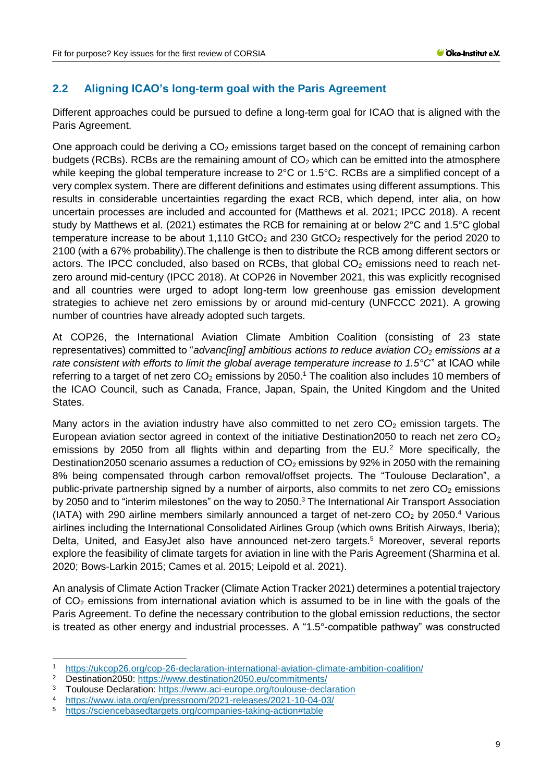# <span id="page-8-0"></span>**2.2 Aligning ICAO's long-term goal with the Paris Agreement**

Different approaches could be pursued to define a long-term goal for ICAO that is aligned with the Paris Agreement.

One approach could be deriving a  $CO<sub>2</sub>$  emissions target based on the concept of remaining carbon budgets (RCBs). RCBs are the remaining amount of  $CO<sub>2</sub>$  which can be emitted into the atmosphere while keeping the global temperature increase to 2°C or 1.5°C. RCBs are a simplified concept of a very complex system. There are different definitions and estimates using different assumptions. This results in considerable uncertainties regarding the exact RCB, which depend, inter alia, on how uncertain processes are included and accounted for [\(Matthews et al. 2021](#page-23-2)[; IPCC 2018\).](#page-22-2) A recent study by [Matthews et al.](#page-23-2) (2021) estimates the RCB for remaining at or below 2°C and 1.5°C global temperature increase to be about 1,110 GtCO<sub>2</sub> and 230 GtCO<sub>2</sub> respectively for the period 2020 to 2100 (with a 67% probability).The challenge is then to distribute the RCB among different sectors or actors. The IPCC concluded, also based on RCBs, that global  $CO<sub>2</sub>$  emissions need to reach netzero around mid-century [\(IPCC 2018\).](#page-22-2) At COP26 in November 2021, this was explicitly recognised and all countries were urged to adopt long-term low greenhouse gas emission development strategies to achieve net zero emissions by or around mid-century [\(UNFCCC 2021\).](#page-24-5) A growing number of countries have already adopted such targets.

At COP26, the International Aviation Climate Ambition Coalition (consisting of 23 state representatives) committed to "*advanc[ing] ambitious actions to reduce aviation CO<sup>2</sup> emissions at a rate consistent with efforts to limit the global average temperature increase to 1.5°C*" at ICAO while referring to a target of net zero  $CO<sub>2</sub>$  emissions by 2050.<sup>1</sup> The coalition also includes 10 members of the ICAO Council, such as Canada, France, Japan, Spain, the United Kingdom and the United States.

Many actors in the aviation industry have also committed to net zero  $CO<sub>2</sub>$  emission targets. The European aviation sector agreed in context of the initiative Destination 2050 to reach net zero  $CO<sub>2</sub>$ emissions by 2050 from all flights within and departing from the  $EU^2$  More specifically, the Destination2050 scenario assumes a reduction of  $CO<sub>2</sub>$  emissions by 92% in 2050 with the remaining 8% being compensated through carbon removal/offset projects. The "Toulouse Declaration", a public-private partnership signed by a number of airports, also commits to net zero  $CO<sub>2</sub>$  emissions by 2050 and to "interim milestones" on the way to 2050.<sup>3</sup> The International Air Transport Association (IATA) with 290 airline members similarly announced a target of net-zero  $CO<sub>2</sub>$  by 2050.<sup>4</sup> Various airlines including the International Consolidated Airlines Group (which owns British Airways, Iberia); Delta, United, and EasyJet also have announced net-zero targets.<sup>5</sup> Moreover, several reports explore the feasibility of climate targets for aviation in line with the Paris Agreement (Sharmina et al. 2020; Bows-Larkin 2015; Cames et al. 2015; Leipold et al. 2021).

An analysis of Climate Action Tracker [\(Climate Action Tracker 2021\)](#page-19-3) determines a potential trajectory of  $CO<sub>2</sub>$  emissions from international aviation which is assumed to be in line with the goals of the Paris Agreement. To define the necessary contribution to the global emission reductions, the sector is treated as other energy and industrial processes. A "1.5°-compatible pathway" was constructed

<sup>-</sup><sup>1</sup> <https://ukcop26.org/cop-26-declaration-international-aviation-climate-ambition-coalition/>

<sup>2</sup> Destination2050:<https://www.destination2050.eu/commitments/><br>3 Toulouse Declaration: https://www.aci.ourope.org/toulouse.decla

<sup>&</sup>lt;sup>3</sup> Toulouse Declaration:<https://www.aci-europe.org/toulouse-declaration><br>4 https://www.icto.org/op/presersom/2021.releases/2021.10.04.02/

<sup>4</sup> <https://www.iata.org/en/pressroom/2021-releases/2021-10-04-03/>

<sup>5</sup> <https://sciencebasedtargets.org/companies-taking-action#table>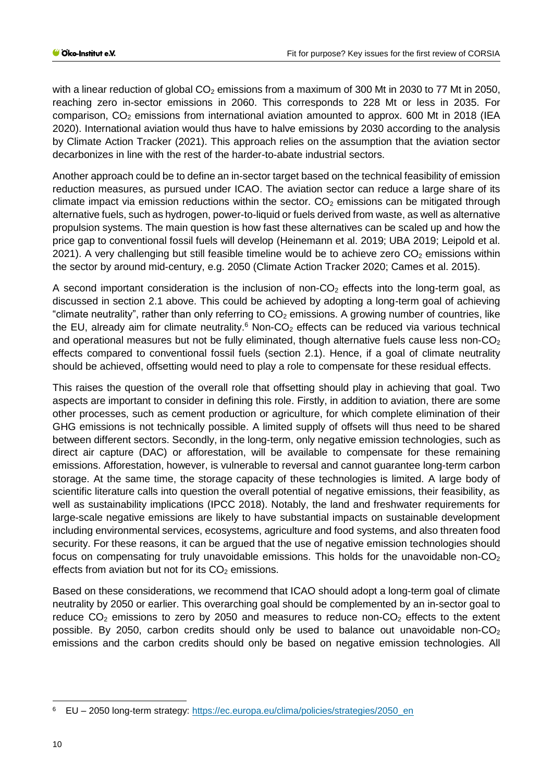with a linear reduction of global  $CO<sub>2</sub>$  emissions from a maximum of 300 Mt in 2030 to 77 Mt in 2050, reaching zero in-sector emissions in 2060. This corresponds to 228 Mt or less in 2035. For comparison,  $CO<sub>2</sub>$  emissions from international aviation amounted to approx. 600 Mt in 2018 (IEA [2020\).](#page-22-3) International aviation would thus have to halve emissions by 2030 according to the analysis by [Climate Action Tracker](#page-19-3) [\(2021\).](#page-19-3) This approach relies on the assumption that the aviation sector decarbonizes in line with the rest of the harder-to-abate industrial sectors.

Another approach could be to define an in-sector target based on the technical feasibility of emission reduction measures, as pursued under ICAO. The aviation sector can reduce a large share of its climate impact via emission reductions within the sector.  $CO<sub>2</sub>$  emissions can be mitigated through alternative fuels, such as hydrogen, power-to-liquid or fuels derived from waste, as well as alternative propulsion systems. The main question is how fast these alternatives can be scaled up and how the price gap to conventional fossil fuels will develop (Heinemann et al. 2019; UBA 2019; Leipold et al. 2021). A very challenging but still feasible timeline would be to achieve zero  $CO<sub>2</sub>$  emissions within the sector by around mid-century, e.g. 2050 [\(Climate Action Tracker 2020;](#page-19-4) [Cames et al. 2015\).](#page-19-5)

A second important consideration is the inclusion of non- $CO<sub>2</sub>$  effects into the long-term goal, as discussed in section 2.1 above. This could be achieved by adopting a long-term goal of achieving "climate neutrality", rather than only referring to  $CO<sub>2</sub>$  emissions. A growing number of countries, like the EU, already aim for climate neutrality.<sup>6</sup> Non-CO<sub>2</sub> effects can be reduced via various technical and operational measures but not be fully eliminated, though alternative fuels cause less non- $CO<sub>2</sub>$ effects compared to conventional fossil fuels (section [2.1\)](#page-5-1). Hence, if a goal of climate neutrality should be achieved, offsetting would need to play a role to compensate for these residual effects.

This raises the question of the overall role that offsetting should play in achieving that goal. Two aspects are important to consider in defining this role. Firstly, in addition to aviation, there are some other processes, such as cement production or agriculture, for which complete elimination of their GHG emissions is not technically possible. A limited supply of offsets will thus need to be shared between different sectors. Secondly, in the long-term, only negative emission technologies, such as direct air capture (DAC) or afforestation, will be available to compensate for these remaining emissions. Afforestation, however, is vulnerable to reversal and cannot guarantee long-term carbon storage. At the same time, the storage capacity of these technologies is limited. A large body of scientific literature calls into question the overall potential of negative emissions, their feasibility, as well as sustainability implications [\(IPCC 2018\).](#page-22-2) Notably, the land and freshwater requirements for large-scale negative emissions are likely to have substantial impacts on sustainable development including environmental services, ecosystems, agriculture and food systems, and also threaten food security. For these reasons, it can be argued that the use of negative emission technologies should focus on compensating for truly unavoidable emissions. This holds for the unavoidable non- $CO<sub>2</sub>$ effects from aviation but not for its  $CO<sub>2</sub>$  emissions.

Based on these considerations, we recommend that ICAO should adopt a long-term goal of climate neutrality by 2050 or earlier. This overarching goal should be complemented by an in-sector goal to reduce  $CO<sub>2</sub>$  emissions to zero by 2050 and measures to reduce non- $CO<sub>2</sub>$  effects to the extent possible. By 2050, carbon credits should only be used to balance out unavoidable non- $CO<sub>2</sub>$ emissions and the carbon credits should only be based on negative emission technologies. All

-

<sup>6</sup> EU – 2050 long-term strategy: [https://ec.europa.eu/clima/policies/strategies/2050\\_en](https://ec.europa.eu/clima/policies/strategies/2050_en)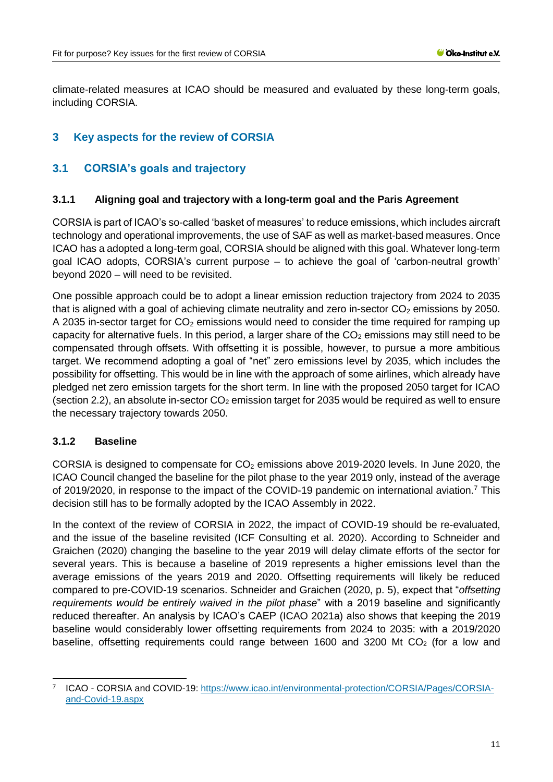climate-related measures at ICAO should be measured and evaluated by these long-term goals, including CORSIA.

## <span id="page-10-0"></span>**3 Key aspects for the review of CORSIA**

## <span id="page-10-1"></span>**3.1 CORSIA's goals and trajectory**

### <span id="page-10-2"></span>**3.1.1 Aligning goal and trajectory with a long-term goal and the Paris Agreement**

CORSIA is part of ICAO's so-called 'basket of measures' to reduce emissions, which includes aircraft technology and operational improvements, the use of SAF as well as market-based measures. Once ICAO has a adopted a long-term goal, CORSIA should be aligned with this goal. Whatever long-term goal ICAO adopts, CORSIA's current purpose – to achieve the goal of 'carbon-neutral growth' beyond 2020 – will need to be revisited.

One possible approach could be to adopt a linear emission reduction trajectory from 2024 to 2035 that is aligned with a goal of achieving climate neutrality and zero in-sector  $CO<sub>2</sub>$  emissions by 2050. A 2035 in-sector target for  $CO<sub>2</sub>$  emissions would need to consider the time required for ramping up capacity for alternative fuels. In this period, a larger share of the  $CO<sub>2</sub>$  emissions may still need to be compensated through offsets. With offsetting it is possible, however, to pursue a more ambitious target. We recommend adopting a goal of "net" zero emissions level by 2035, which includes the possibility for offsetting. This would be in line with the approach of some airlines, which already have pledged net zero emission targets for the short term. In line with the proposed 2050 target for ICAO (section [2.2\)](#page-8-0), an absolute in-sector  $CO<sub>2</sub>$  emission target for 2035 would be required as well to ensure the necessary trajectory towards 2050.

### <span id="page-10-3"></span>**3.1.2 Baseline**

CORSIA is designed to compensate for  $CO<sub>2</sub>$  emissions above 2019-2020 levels. In June 2020, the ICAO Council changed the baseline for the pilot phase to the year 2019 only, instead of the average of 2019/2020, in response to the impact of the COVID-19 pandemic on international aviation.<sup>7</sup> This decision still has to be formally adopted by the ICAO Assembly in 2022.

In the context of the review of CORSIA in 2022, the impact of COVID-19 should be re-evaluated, and the issue of the baseline revisited [\(ICF Consulting et](#page-22-0) al. 2020). According to Schneider and Graichen [\(2020\)](#page-23-3) changing the baseline to the year 2019 will delay climate efforts of the sector for several years. This is because a baseline of 2019 represents a higher emissions level than the average emissions of the years 2019 and 2020. Offsetting requirements will likely be reduced compared to pre-COVID-19 scenarios. Schneider and Graichen [\(2020, p. 5\),](#page-23-3) expect that "*offsetting requirements would be entirely waived in the pilot phase*" with a 2019 baseline and significantly reduced thereafter. An analysis by ICAO's CAEP [\(ICAO 2021a\)](#page-21-2) also shows that keeping the 2019 baseline would considerably lower offsetting requirements from 2024 to 2035: with a 2019/2020 baseline, offsetting requirements could range between 1600 and 3200 Mt  $CO<sub>2</sub>$  (for a low and

<sup>-</sup>7 ICAO - CORSIA and COVID-19: [https://www.icao.int/environmental-protection/CORSIA/Pages/CORSIA](https://www.icao.int/environmental-protection/CORSIA/Pages/CORSIA-and-Covid-19.aspx)[and-Covid-19.aspx](https://www.icao.int/environmental-protection/CORSIA/Pages/CORSIA-and-Covid-19.aspx)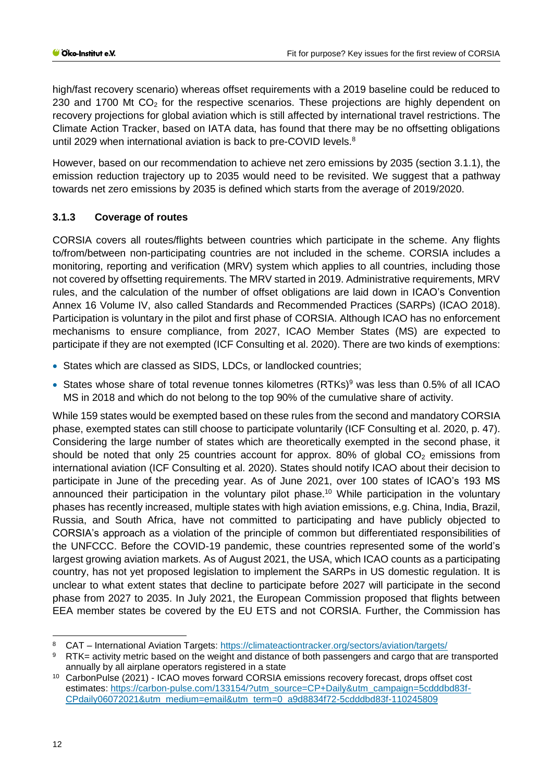high/fast recovery scenario) whereas offset requirements with a 2019 baseline could be reduced to 230 and 1700 Mt  $CO<sub>2</sub>$  for the respective scenarios. These projections are highly dependent on recovery projections for global aviation which is still affected by international travel restrictions. The Climate Action Tracker, based on IATA data, has found that there may be no offsetting obligations until 2029 when international aviation is back to pre-COVID levels.<sup>8</sup>

However, based on our recommendation to achieve net zero emissions by 2035 (section [3.1.1\)](#page-10-2), the emission reduction trajectory up to 2035 would need to be revisited. We suggest that a pathway towards net zero emissions by 2035 is defined which starts from the average of 2019/2020.

## <span id="page-11-0"></span>**3.1.3 Coverage of routes**

CORSIA covers all routes/flights between countries which participate in the scheme. Any flights to/from/between non-participating countries are not included in the scheme. CORSIA includes a monitoring, reporting and verification (MRV) system which applies to all countries, including those not covered by offsetting requirements. The MRV started in 2019. Administrative requirements, MRV rules, and the calculation of the number of offset obligations are laid down in ICAO's Convention Annex 16 Volume IV, also called Standards and Recommended Practices (SARPs) [\(ICAO 2018\).](#page-20-1) Participation is voluntary in the pilot and first phase of CORSIA. Although ICAO has no enforcement mechanisms to ensure compliance, from 2027, ICAO Member States (MS) are expected to participate if they are not exempted [\(ICF Consulting et al. 2020\).](#page-22-0) There are two kinds of exemptions:

- States which are classed as SIDS, LDCs, or landlocked countries;
- States whose share of total revenue tonnes kilometres  $(RTKs)^9$  was less than 0.5% of all ICAO MS in 2018 and which do not belong to the top 90% of the cumulative share of activity.

While 159 states would be exempted based on these rules from the second and mandatory CORSIA phase, exempted states can still choose to participate voluntarily [\(ICF Consulting et al. 2020, p. 47\).](#page-22-0) Considering the large number of states which are theoretically exempted in the second phase, it should be noted that only 25 countries account for approx. 80% of global  $CO<sub>2</sub>$  emissions from international aviation [\(ICF Consulting et al. 2020\).](#page-22-0) States should notify ICAO about their decision to participate in June of the preceding year. As of June 2021, over 100 states of ICAO's 193 MS announced their participation in the voluntary pilot phase.<sup>10</sup> While participation in the voluntary phases has recently increased, multiple states with high aviation emissions, e.g. China, India, Brazil, Russia, and South Africa, have not committed to participating and have publicly objected to CORSIA's approach as a violation of the principle of common but differentiated responsibilities of the UNFCCC. Before the COVID-19 pandemic, these countries represented some of the world's largest growing aviation markets. As of August 2021, the USA, which ICAO counts as a participating country, has not yet proposed legislation to implement the SARPs in US domestic regulation. It is unclear to what extent states that decline to participate before 2027 will participate in the second phase from 2027 to 2035. In July 2021, the European Commission proposed that flights between EEA member states be covered by the EU ETS and not CORSIA. Further, the Commission has

-

<sup>8</sup> CAT – International Aviation Targets:<https://climateactiontracker.org/sectors/aviation/targets/><br>8 ETK – activity metric based on the weight and distance of both passengers and cargo that are

RTK= activity metric based on the weight and distance of both passengers and cargo that are transported annually by all airplane operators registered in a state

<sup>10</sup> CarbonPulse (2021) - ICAO moves forward CORSIA emissions recovery forecast, drops offset cost estimates: [https://carbon-pulse.com/133154/?utm\\_source=CP+Daily&utm\\_campaign=5cdddbd83f-](https://carbon-pulse.com/133154/?utm_source=CP+Daily&utm_campaign=5cdddbd83f-CPdaily06072021&utm_medium=email&utm_term=0_a9d8834f72-5cdddbd83f-110245809)[CPdaily06072021&utm\\_medium=email&utm\\_term=0\\_a9d8834f72-5cdddbd83f-110245809](https://carbon-pulse.com/133154/?utm_source=CP+Daily&utm_campaign=5cdddbd83f-CPdaily06072021&utm_medium=email&utm_term=0_a9d8834f72-5cdddbd83f-110245809)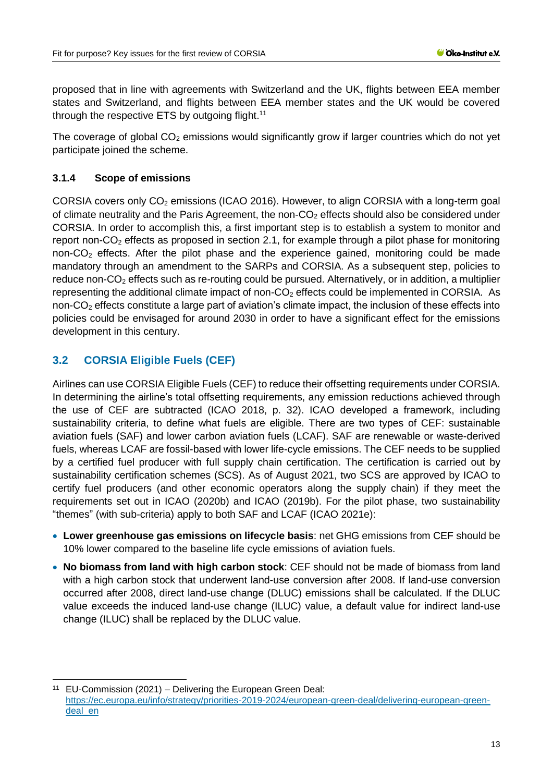proposed that in line with agreements with Switzerland and the UK, flights between EEA member states and Switzerland, and flights between EEA member states and the UK would be covered through the respective ETS by outgoing flight.<sup>11</sup>

The coverage of global  $CO<sub>2</sub>$  emissions would significantly grow if larger countries which do not yet participate joined the scheme.

## <span id="page-12-0"></span>**3.1.4 Scope of emissions**

CORSIA covers only  $CO<sub>2</sub>$  emissions [\(ICAO 2016\).](#page-21-0) However, to align CORSIA with a long-term goal of climate neutrality and the Paris Agreement, the non- $CO<sub>2</sub>$  effects should also be considered under CORSIA. In order to accomplish this, a first important step is to establish a system to monitor and report non- $CO<sub>2</sub>$  effects as proposed in section [2.1,](#page-5-1) for example through a pilot phase for monitoring non-CO<sub>2</sub> effects. After the pilot phase and the experience gained, monitoring could be made mandatory through an amendment to the SARPs and CORSIA. As a subsequent step, policies to reduce non-CO<sub>2</sub> effects such as re-routing could be pursued. Alternatively, or in addition, a multiplier representing the additional climate impact of non- $CO<sub>2</sub>$  effects could be implemented in CORSIA. As non- $CO<sub>2</sub>$  effects constitute a large part of aviation's climate impact, the inclusion of these effects into policies could be envisaged for around 2030 in order to have a significant effect for the emissions development in this century.

# <span id="page-12-1"></span>**3.2 CORSIA Eligible Fuels (CEF)**

-

Airlines can use CORSIA Eligible Fuels (CEF) to reduce their offsetting requirements under CORSIA. In determining the airline's total offsetting requirements, any emission reductions achieved through the use of CEF are subtracted [\(ICAO 2018, p. 32\).](#page-20-1) ICAO developed a framework, including sustainability criteria, to define what fuels are eligible. There are two types of CEF: sustainable aviation fuels (SAF) and lower carbon aviation fuels (LCAF). SAF are renewable or waste-derived fuels, whereas LCAF are fossil-based with lower life-cycle emissions. The CEF needs to be supplied by a certified fuel producer with full supply chain certification. The certification is carried out by sustainability certification schemes (SCS). As of August 2021, two SCS are approved by ICAO to certify fuel producers (and other economic operators along the supply chain) if they meet the requirements set out in [ICAO](#page-21-3) [\(2020b\)](#page-21-3) and [ICAO](#page-21-4) [\(2019b\).](#page-21-4) For the pilot phase, two sustainability "themes" (with sub-criteria) apply to both SAF and LCAF [\(ICAO 2021e\):](#page-22-4)

- **Lower greenhouse gas emissions on lifecycle basis**: net GHG emissions from CEF should be 10% lower compared to the baseline life cycle emissions of aviation fuels.
- **No biomass from land with high carbon stock**: CEF should not be made of biomass from land with a high carbon stock that underwent land-use conversion after 2008. If land-use conversion occurred after 2008, direct land-use change (DLUC) emissions shall be calculated. If the DLUC value exceeds the induced land-use change (ILUC) value, a default value for indirect land-use change (ILUC) shall be replaced by the DLUC value.

<sup>11</sup> EU-Commission (2021) – Delivering the European Green Deal: [https://ec.europa.eu/info/strategy/priorities-2019-2024/european-green-deal/delivering-european-green](https://ec.europa.eu/info/strategy/priorities-2019-2024/european-green-deal/delivering-european-green-deal_en)[deal\\_en](https://ec.europa.eu/info/strategy/priorities-2019-2024/european-green-deal/delivering-european-green-deal_en)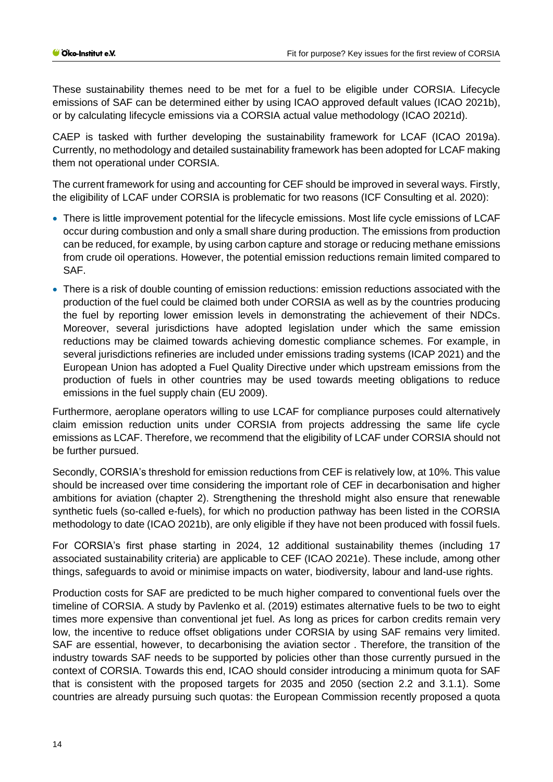These sustainability themes need to be met for a fuel to be eligible under CORSIA. Lifecycle emissions of SAF can be determined either by using ICAO approved default values [\(ICAO 2021b\),](#page-22-5) or by calculating lifecycle emissions via a CORSIA actual value methodology [\(ICAO 2021d\).](#page-22-6)

CAEP is tasked with further developing the sustainability framework for LCAF [\(ICAO 2019a\).](#page-21-5) Currently, no methodology and detailed sustainability framework has been adopted for LCAF making them not operational under CORSIA.

The current framework for using and accounting for CEF should be improved in several ways. Firstly, the eligibility of LCAF under CORSIA is problematic for two reasons [\(ICF Consulting et al. 2020\):](#page-22-0)

- There is little improvement potential for the lifecycle emissions. Most life cycle emissions of LCAF occur during combustion and only a small share during production. The emissions from production can be reduced, for example, by using carbon capture and storage or reducing methane emissions from crude oil operations. However, the potential emission reductions remain limited compared to SAF.
- There is a risk of double counting of emission reductions: emission reductions associated with the production of the fuel could be claimed both under CORSIA as well as by the countries producing the fuel by reporting lower emission levels in demonstrating the achievement of their NDCs. Moreover, several jurisdictions have adopted legislation under which the same emission reductions may be claimed towards achieving domestic compliance schemes. For example, in several jurisdictions refineries are included under emissions trading systems [\(ICAP 2021\)](#page-22-7) and the European Union has adopted a Fuel Quality Directive under which upstream emissions from the production of fuels in other countries may be used towards meeting obligations to reduce emissions in the fuel supply chain [\(EU 2009\).](#page-20-2)

Furthermore, aeroplane operators willing to use LCAF for compliance purposes could alternatively claim emission reduction units under CORSIA from projects addressing the same life cycle emissions as LCAF. Therefore, we recommend that the eligibility of LCAF under CORSIA should not be further pursued.

Secondly, CORSIA's threshold for emission reductions from CEF is relatively low, at 10%. This value should be increased over time considering the important role of CEF in decarbonisation and higher ambitions for aviation (chapter [2\)](#page-5-0). Strengthening the threshold might also ensure that renewable synthetic fuels (so-called e-fuels), for which no production pathway has been listed in the CORSIA methodology to date [\(ICAO 2021b\),](#page-22-5) are only eligible if they have not been produced with fossil fuels.

For CORSIA's first phase starting in 2024, 12 additional sustainability themes (including 17 associated sustainability criteria) are applicable to CEF [\(ICAO 2021e\).](#page-22-4) These include, among other things, safeguards to avoid or minimise impacts on water, biodiversity, labour and land-use rights.

Production costs for SAF are predicted to be much higher compared to conventional fuels over the timeline of CORSIA. A study by [Pavlenko et al.](#page-23-4) [\(2019\)](#page-23-4) estimates alternative fuels to be two to eight times more expensive than conventional jet fuel. As long as prices for carbon credits remain very low, the incentive to reduce offset obligations under CORSIA by using SAF remains very limited. SAF are essential, however, to decarbonising the aviation sector . Therefore, the transition of the industry towards SAF needs to be supported by policies other than those currently pursued in the context of CORSIA. Towards this end, ICAO should consider introducing a minimum quota for SAF that is consistent with the proposed targets for 2035 and 2050 (section [2.2](#page-8-0) and [3.1.1\)](#page-10-2). Some countries are already pursuing such quotas: the European Commission recently proposed a quota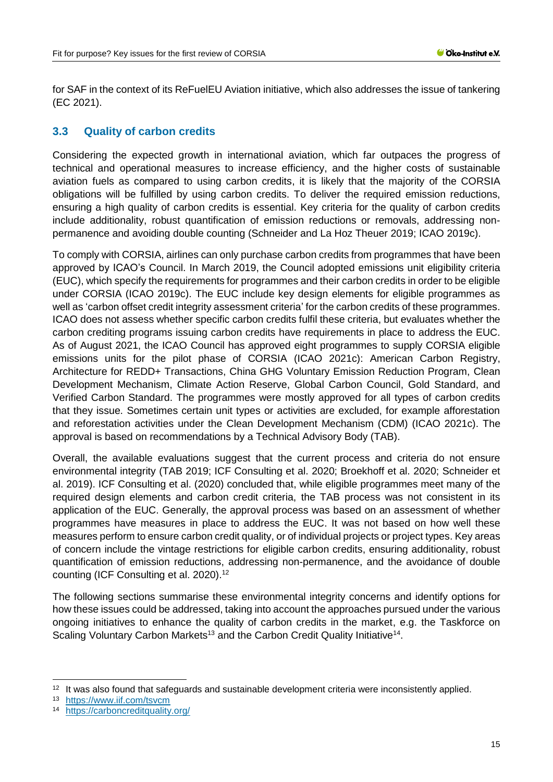for SAF in the context of its ReFuelEU Aviation initiative, which also addresses the issue of tankering [\(EC 2021\).](#page-20-3)

## <span id="page-14-0"></span>**3.3 Quality of carbon credits**

Considering the expected growth in international aviation, which far outpaces the progress of technical and operational measures to increase efficiency, and the higher costs of sustainable aviation fuels as compared to using carbon credits, it is likely that the majority of the CORSIA obligations will be fulfilled by using carbon credits. To deliver the required emission reductions, ensuring a high quality of carbon credits is essential. Key criteria for the quality of carbon credits include additionality, robust quantification of emission reductions or removals, addressing nonpermanence and avoiding double counting (Schneider and La Hoz Theuer [2019;](#page-24-6) ICAO [2019c\)](#page-21-6).

To comply with CORSIA, airlines can only purchase carbon credits from programmes that have been approved by ICAO's Council. In March 2019, the Council adopted emissions unit eligibility criteria (EUC), which specify the requirements for programmes and their carbon credits in order to be eligible under CORSIA [\(ICAO 2019c\).](#page-21-6) The EUC include key design elements for eligible programmes as well as 'carbon offset credit integrity assessment criteria' for the carbon credits of these programmes. ICAO does not assess whether specific carbon credits fulfil these criteria, but evaluates whether the carbon crediting programs issuing carbon credits have requirements in place to address the EUC. As of August 2021, the ICAO Council has approved eight programmes to supply CORSIA eligible emissions units for the pilot phase of CORSIA [\(ICAO 2021c\):](#page-22-8) American Carbon Registry, Architecture for REDD+ Transactions, China GHG Voluntary Emission Reduction Program, Clean Development Mechanism, Climate Action Reserve, Global Carbon Council, Gold Standard, and Verified Carbon Standard. The programmes were mostly approved for all types of carbon credits that they issue. Sometimes certain unit types or activities are excluded, for example afforestation and reforestation activities under the Clean Development Mechanism (CDM) [\(ICAO 2021c\).](#page-22-8) The approval is based on recommendations by a Technical Advisory Body (TAB).

Overall, the available evaluations suggest that the current process and criteria do not ensure environmental integrity [\(TAB 2019](#page-24-7)[; ICF Consulting et al. 2020](#page-22-0)[; Broekhoff et al. 2020](#page-19-1)[; Schneider et](#page-24-8)  [al. 2019\).](#page-24-8) [ICF Consulting et al.](#page-22-0) [\(2020\)](#page-22-0) concluded that, while eligible programmes meet many of the required design elements and carbon credit criteria, the TAB process was not consistent in its application of the EUC. Generally, the approval process was based on an assessment of whether programmes have measures in place to address the EUC. It was not based on how well these measures perform to ensure carbon credit quality, or of individual projects or project types. Key areas of concern include the vintage restrictions for eligible carbon credits, ensuring additionality, robust quantification of emission reductions, addressing non-permanence, and the avoidance of double counting [\(ICF Consulting et al. 2020\).](#page-22-0) 12

The following sections summarise these environmental integrity concerns and identify options for how these issues could be addressed, taking into account the approaches pursued under the various ongoing initiatives to enhance the quality of carbon credits in the market, e.g. the Taskforce on Scaling Voluntary Carbon Markets<sup>13</sup> and the Carbon Credit Quality Initiative<sup>14</sup>.

-

<sup>&</sup>lt;sup>12</sup> It was also found that safeguards and sustainable development criteria were inconsistently applied.

<sup>13</sup> <https://www.iif.com/tsvcm>

<sup>14</sup> <https://carboncreditquality.org/>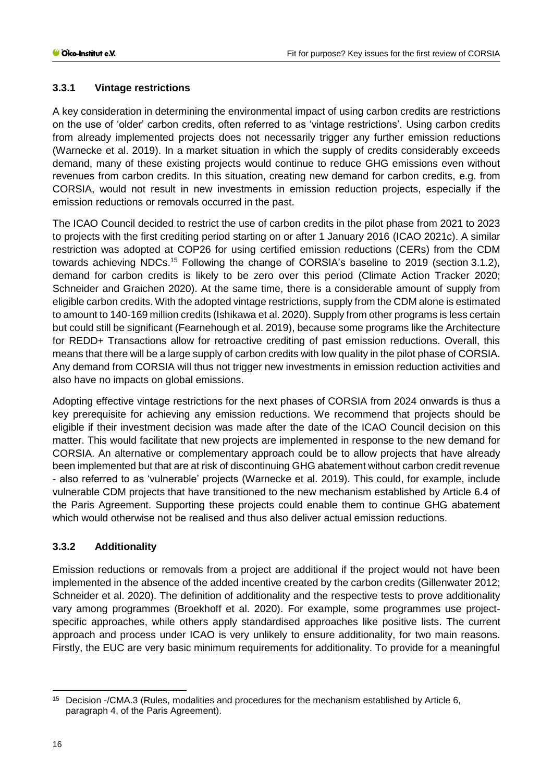## <span id="page-15-0"></span>**3.3.1 Vintage restrictions**

A key consideration in determining the environmental impact of using carbon credits are restrictions on the use of 'older' carbon credits, often referred to as 'vintage restrictions'. Using carbon credits from already implemented projects does not necessarily trigger any further emission reductions [\(Warnecke et al. 2019\).](#page-25-0) In a market situation in which the supply of credits considerably exceeds demand, many of these existing projects would continue to reduce GHG emissions even without revenues from carbon credits. In this situation, creating new demand for carbon credits, e.g. from CORSIA, would not result in new investments in emission reduction projects, especially if the emission reductions or removals occurred in the past.

The ICAO Council decided to restrict the use of carbon credits in the pilot phase from 2021 to 2023 to projects with the first crediting period starting on or after 1 January 2016 [\(ICAO 2021c\).](#page-22-8) A similar restriction was adopted at COP26 for using certified emission reductions (CERs) from the CDM towards achieving NDCs.<sup>15</sup> Following the change of CORSIA's baseline to 2019 (section [3.1.2\)](#page-10-3), demand for carbon credits is likely to be zero over this period [\(Climate Action Tracker 2020;](#page-19-4) Schneider and Graichen [2020\)](#page-23-3). At the same time, there is a considerable amount of supply from eligible carbon credits. With the adopted vintage restrictions, supply from the CDM alone is estimated to amount to 140-169 million credits [\(Ishikawa et al. 2020\).](#page-23-5) Supply from other programs is less certain but could still be significant [\(Fearnehough et al. 2019\),](#page-20-4) because some programs like the Architecture for REDD+ Transactions allow for retroactive crediting of past emission reductions. Overall, this means that there will be a large supply of carbon credits with low quality in the pilot phase of CORSIA. Any demand from CORSIA will thus not trigger new investments in emission reduction activities and also have no impacts on global emissions.

Adopting effective vintage restrictions for the next phases of CORSIA from 2024 onwards is thus a key prerequisite for achieving any emission reductions. We recommend that projects should be eligible if their investment decision was made after the date of the ICAO Council decision on this matter. This would facilitate that new projects are implemented in response to the new demand for CORSIA. An alternative or complementary approach could be to allow projects that have already been implemented but that are at risk of discontinuing GHG abatement without carbon credit revenue - also referred to as 'vulnerable' projects [\(Warnecke et al. 2019\).](#page-25-0) This could, for example, include vulnerable CDM projects that have transitioned to the new mechanism established by Article 6.4 of the Paris Agreement. Supporting these projects could enable them to continue GHG abatement which would otherwise not be realised and thus also deliver actual emission reductions.

## <span id="page-15-1"></span>**3.3.2 Additionality**

Emission reductions or removals from a project are additional if the project would not have been implemented in the absence of the added incentive created by the carbon credits [\(Gillenwater 2012](#page-20-5)[;](#page-23-6)  [Schneider et al. 2020\).](#page-23-6) The definition of additionality and the respective tests to prove additionality vary among programmes [\(Broekhoff et al. 2020\).](#page-19-1) For example, some programmes use projectspecific approaches, while others apply standardised approaches like positive lists. The current approach and process under ICAO is very unlikely to ensure additionality, for two main reasons. Firstly, the EUC are very basic minimum requirements for additionality. To provide for a meaningful

<sup>-</sup><sup>15</sup> Decision -/CMA.3 (Rules, modalities and procedures for the mechanism established by Article 6, paragraph 4, of the Paris Agreement).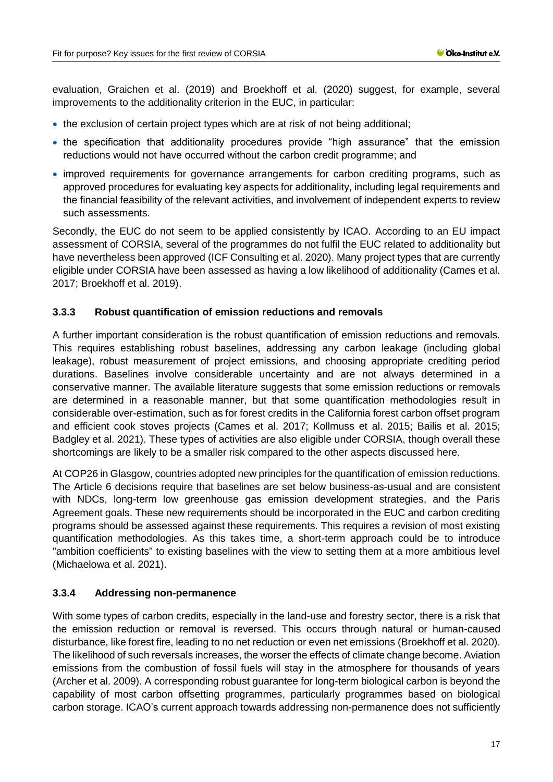evaluation, [Graichen et al.](#page-20-6) [\(2019\)](#page-20-6) and [Broekhoff et al.](#page-19-1) [\(2020\)](#page-19-1) suggest, for example, several improvements to the additionality criterion in the EUC, in particular:

- the exclusion of certain project types which are at risk of not being additional;
- the specification that additionality procedures provide "high assurance" that the emission reductions would not have occurred without the carbon credit programme; and
- improved requirements for governance arrangements for carbon crediting programs, such as approved procedures for evaluating key aspects for additionality, including legal requirements and the financial feasibility of the relevant activities, and involvement of independent experts to review such assessments.

Secondly, the EUC do not seem to be applied consistently by ICAO. According to an EU impact assessment of CORSIA, several of the programmes do not fulfil the EUC related to additionality but have nevertheless been approved [\(ICF Consulting et al. 2020\).](#page-22-0) Many project types that are currently eligible under CORSIA have been assessed as having a low likelihood of additionality [\(Cames et al.](#page-19-6)  [2017](#page-19-6)[; Broekhoff et al. 2019\).](#page-19-7)

#### <span id="page-16-0"></span>**3.3.3 Robust quantification of emission reductions and removals**

A further important consideration is the robust quantification of emission reductions and removals. This requires establishing robust baselines, addressing any carbon leakage (including global leakage), robust measurement of project emissions, and choosing appropriate crediting period durations. Baselines involve considerable uncertainty and are not always determined in a conservative manner. The available literature suggests that some emission reductions or removals are determined in a reasonable manner, but that some quantification methodologies result in considerable over-estimation, such as for forest credits in the California forest carbon offset program and efficient cook stoves projects (Cames et al. 2017; Kollmuss et al. 2015; Bailis et al. 2015; Badgley et al. 2021). These types of activities are also eligible under CORSIA, though overall these shortcomings are likely to be a smaller risk compared to the other aspects discussed here.

At COP26 in Glasgow, countries adopted new principles for the quantification of emission reductions. The Article 6 decisions require that baselines are set below business-as-usual and are consistent with NDCs, long-term low greenhouse gas emission development strategies, and the Paris Agreement goals. These new requirements should be incorporated in the EUC and carbon crediting programs should be assessed against these requirements. This requires a revision of most existing quantification methodologies. As this takes time, a short-term approach could be to introduce "ambition coefficients" to existing baselines with the view to setting them at a more ambitious level [\(Michaelowa et al. 2021\).](#page-23-7)

#### <span id="page-16-1"></span>**3.3.4 Addressing non-permanence**

With some types of carbon credits, especially in the land-use and forestry sector, there is a risk that the emission reduction or removal is reversed. This occurs through natural or human-caused disturbance, like forest fire, leading to no net reduction or even net emissions [\(Broekhoff et al. 2020\).](#page-19-1) The likelihood of such reversals increases, the worser the effects of climate change become. Aviation emissions from the combustion of fossil fuels will stay in the atmosphere for thousands of years [\(Archer et al. 2009\).](#page-19-8) A corresponding robust guarantee for long-term biological carbon is beyond the capability of most carbon offsetting programmes, particularly programmes based on biological carbon storage. ICAO's current approach towards addressing non-permanence does not sufficiently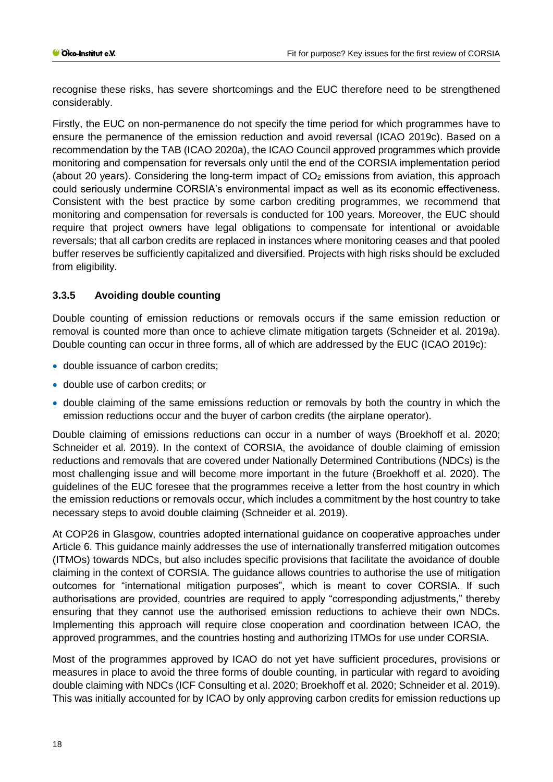recognise these risks, has severe shortcomings and the EUC therefore need to be strengthened considerably.

Firstly, the EUC on non-permanence do not specify the time period for which programmes have to ensure the permanence of the emission reduction and avoid reversal [\(ICAO 2019c\).](#page-21-6) Based on a recommendation by the TAB [\(ICAO 2020a\),](#page-21-7) the ICAO Council approved programmes which provide monitoring and compensation for reversals only until the end of the CORSIA implementation period (about 20 years). Considering the long-term impact of  $CO<sub>2</sub>$  emissions from aviation, this approach could seriously undermine CORSIA's environmental impact as well as its economic effectiveness. Consistent with the best practice by some carbon crediting programmes, we recommend that monitoring and compensation for reversals is conducted for 100 years. Moreover, the EUC should require that project owners have legal obligations to compensate for intentional or avoidable reversals; that all carbon credits are replaced in instances where monitoring ceases and that pooled buffer reserves be sufficiently capitalized and diversified. Projects with high risks should be excluded from eligibility.

## <span id="page-17-0"></span>**3.3.5 Avoiding double counting**

Double counting of emission reductions or removals occurs if the same emission reduction or removal is counted more than once to achieve climate mitigation targets (Schneider et al. 2019a). Double counting can occur in three forms, all of which are addressed by the EUC [\(ICAO 2019c\):](#page-21-6)

- double issuance of carbon credits;
- double use of carbon credits; or
- double claiming of the same emissions reduction or removals by both the country in which the emission reductions occur and the buyer of carbon credits (the airplane operator).

Double claiming of emissions reductions can occur in a number of ways [\(Broekhoff et al. 2020](#page-19-1)[;](#page-24-8)  [Schneider et al. 2019\).](#page-24-8) In the context of CORSIA, the avoidance of double claiming of emission reductions and removals that are covered under Nationally Determined Contributions (NDCs) is the most challenging issue and will become more important in the future [\(Broekhoff et al. 2020\).](#page-19-1) The guidelines of the EUC foresee that the programmes receive a letter from the host country in which the emission reductions or removals occur, which includes a commitment by the host country to take necessary steps to avoid double claiming [\(Schneider et al. 2019\).](#page-24-8)

At COP26 in Glasgow, countries adopted international guidance on cooperative approaches under Article 6. This guidance mainly addresses the use of internationally transferred mitigation outcomes (ITMOs) towards NDCs, but also includes specific provisions that facilitate the avoidance of double claiming in the context of CORSIA. The guidance allows countries to authorise the use of mitigation outcomes for "international mitigation purposes", which is meant to cover CORSIA. If such authorisations are provided, countries are required to apply "corresponding adjustments," thereby ensuring that they cannot use the authorised emission reductions to achieve their own NDCs. Implementing this approach will require close cooperation and coordination between ICAO, the approved programmes, and the countries hosting and authorizing ITMOs for use under CORSIA.

Most of the programmes approved by ICAO do not yet have sufficient procedures, provisions or measures in place to avoid the three forms of double counting, in particular with regard to avoiding double claiming with NDCs [\(ICF Consulting et al. 2020](#page-22-0)[; Broekhoff et al. 2020](#page-19-1)[; Schneider et al. 2019\).](#page-24-8) This was initially accounted for by ICAO by only approving carbon credits for emission reductions up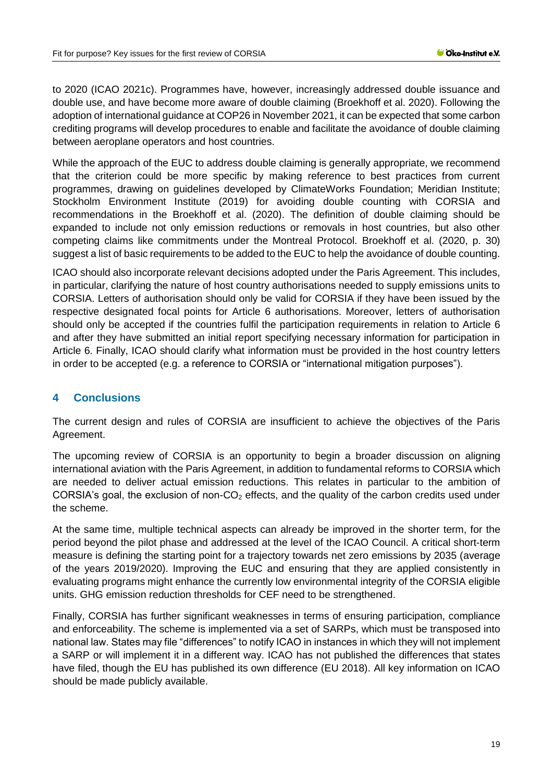to 2020 [\(ICAO 2021c\).](#page-22-8) Programmes have, however, increasingly addressed double issuance and double use, and have become more aware of double claiming [\(Broekhoff et al. 2020\).](#page-19-1) Following the adoption of international guidance at COP26 in November 2021, it can be expected that some carbon crediting programs will develop procedures to enable and facilitate the avoidance of double claiming between aeroplane operators and host countries.

While the approach of the EUC to address double claiming is generally appropriate, we recommend that the criterion could be more specific by making reference to best practices from current programmes, drawing on guidelines developed by [ClimateWorks Foundation; Meridian Institute;](#page-19-9)  [Stockholm Environment Institute](#page-19-9) [\(2019\)](#page-19-9) for avoiding double counting with CORSIA and recommendations in the [Broekhoff et al.](#page-19-1) [\(2020\).](#page-19-1) The definition of double claiming should be expanded to include not only emission reductions or removals in host countries, but also other competing claims like commitments under the Montreal Protocol. [Broekhoff et al.](#page-19-1) [\(2020, p. 30\)](#page-19-1) suggest a list of basic requirements to be added to the EUC to help the avoidance of double counting.

ICAO should also incorporate relevant decisions adopted under the Paris Agreement. This includes, in particular, clarifying the nature of host country authorisations needed to supply emissions units to CORSIA. Letters of authorisation should only be valid for CORSIA if they have been issued by the respective designated focal points for Article 6 authorisations. Moreover, letters of authorisation should only be accepted if the countries fulfil the participation requirements in relation to Article 6 and after they have submitted an initial report specifying necessary information for participation in Article 6. Finally, ICAO should clarify what information must be provided in the host country letters in order to be accepted (e.g. a reference to CORSIA or "international mitigation purposes").

## <span id="page-18-0"></span>**4 Conclusions**

The current design and rules of CORSIA are insufficient to achieve the objectives of the Paris Agreement.

The upcoming review of CORSIA is an opportunity to begin a broader discussion on aligning international aviation with the Paris Agreement, in addition to fundamental reforms to CORSIA which are needed to deliver actual emission reductions. This relates in particular to the ambition of CORSIA's goal, the exclusion of non- $CO<sub>2</sub>$  effects, and the quality of the carbon credits used under the scheme.

At the same time, multiple technical aspects can already be improved in the shorter term, for the period beyond the pilot phase and addressed at the level of the ICAO Council. A critical short-term measure is defining the starting point for a trajectory towards net zero emissions by 2035 (average of the years 2019/2020). Improving the EUC and ensuring that they are applied consistently in evaluating programs might enhance the currently low environmental integrity of the CORSIA eligible units. GHG emission reduction thresholds for CEF need to be strengthened.

Finally, CORSIA has further significant weaknesses in terms of ensuring participation, compliance and enforceability. The scheme is implemented via a set of SARPs, which must be transposed into national law. States may file "differences" to notify ICAO in instances in which they will not implement a SARP or will implement it in a different way. ICAO has not published the differences that states have filed, though the EU has published its own difference [\(EU 2018\).](#page-20-7) All key information on ICAO should be made publicly available.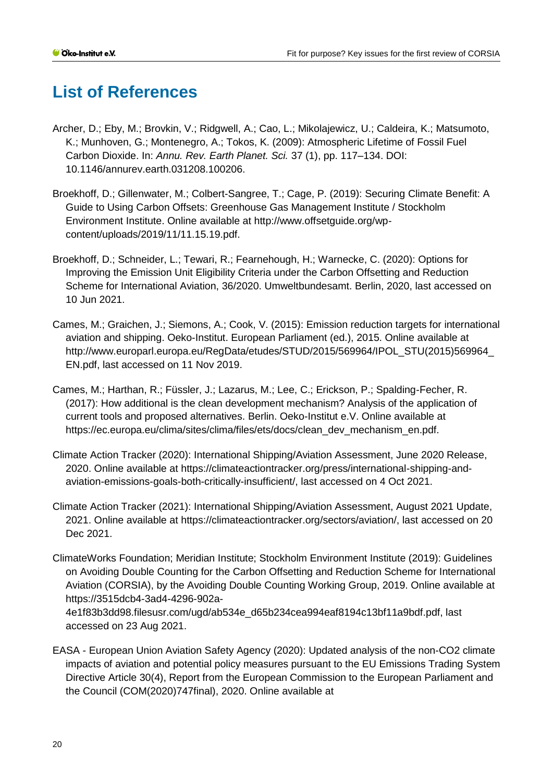# <span id="page-19-0"></span>**List of References**

- <span id="page-19-8"></span>Archer, D.; Eby, M.; Brovkin, V.; Ridgwell, A.; Cao, L.; Mikolajewicz, U.; Caldeira, K.; Matsumoto, K.; Munhoven, G.; Montenegro, A.; Tokos, K. (2009): Atmospheric Lifetime of Fossil Fuel Carbon Dioxide. In: *Annu. Rev. Earth Planet. Sci.* 37 (1), pp. 117–134. DOI: 10.1146/annurev.earth.031208.100206.
- <span id="page-19-7"></span>Broekhoff, D.; Gillenwater, M.; Colbert-Sangree, T.; Cage, P. (2019): Securing Climate Benefit: A Guide to Using Carbon Offsets: Greenhouse Gas Management Institute / Stockholm Environment Institute. Online available at http://www.offsetguide.org/wpcontent/uploads/2019/11/11.15.19.pdf.
- <span id="page-19-1"></span>Broekhoff, D.; Schneider, L.; Tewari, R.; Fearnehough, H.; Warnecke, C. (2020): Options for Improving the Emission Unit Eligibility Criteria under the Carbon Offsetting and Reduction Scheme for International Aviation, 36/2020. Umweltbundesamt. Berlin, 2020, last accessed on 10 Jun 2021.
- <span id="page-19-5"></span>Cames, M.; Graichen, J.; Siemons, A.; Cook, V. (2015): Emission reduction targets for international aviation and shipping. Oeko-Institut. European Parliament (ed.), 2015. Online available at http://www.europarl.europa.eu/RegData/etudes/STUD/2015/569964/IPOL\_STU(2015)569964\_ EN.pdf, last accessed on 11 Nov 2019.
- <span id="page-19-6"></span>Cames, M.; Harthan, R.; Füssler, J.; Lazarus, M.; Lee, C.; Erickson, P.; Spalding-Fecher, R. (2017): How additional is the clean development mechanism? Analysis of the application of current tools and proposed alternatives. Berlin. Oeko-Institut e.V. Online available at https://ec.europa.eu/clima/sites/clima/files/ets/docs/clean\_dev\_mechanism\_en.pdf.
- <span id="page-19-4"></span>Climate Action Tracker (2020): International Shipping/Aviation Assessment, June 2020 Release, 2020. Online available at https://climateactiontracker.org/press/international-shipping-andaviation-emissions-goals-both-critically-insufficient/, last accessed on 4 Oct 2021.
- <span id="page-19-3"></span>Climate Action Tracker (2021): International Shipping/Aviation Assessment, August 2021 Update, 2021. Online available at https://climateactiontracker.org/sectors/aviation/, last accessed on 20 Dec 2021.
- <span id="page-19-9"></span>ClimateWorks Foundation; Meridian Institute; Stockholm Environment Institute (2019): Guidelines on Avoiding Double Counting for the Carbon Offsetting and Reduction Scheme for International Aviation (CORSIA), by the Avoiding Double Counting Working Group, 2019. Online available at https://3515dcb4-3ad4-4296-902a-

4e1f83b3dd98.filesusr.com/ugd/ab534e\_d65b234cea994eaf8194c13bf11a9bdf.pdf, last accessed on 23 Aug 2021.

<span id="page-19-2"></span>EASA - European Union Aviation Safety Agency (2020): Updated analysis of the non-CO2 climate impacts of aviation and potential policy measures pursuant to the EU Emissions Trading System Directive Article 30(4), Report from the European Commission to the European Parliament and the Council (COM(2020)747final), 2020. Online available at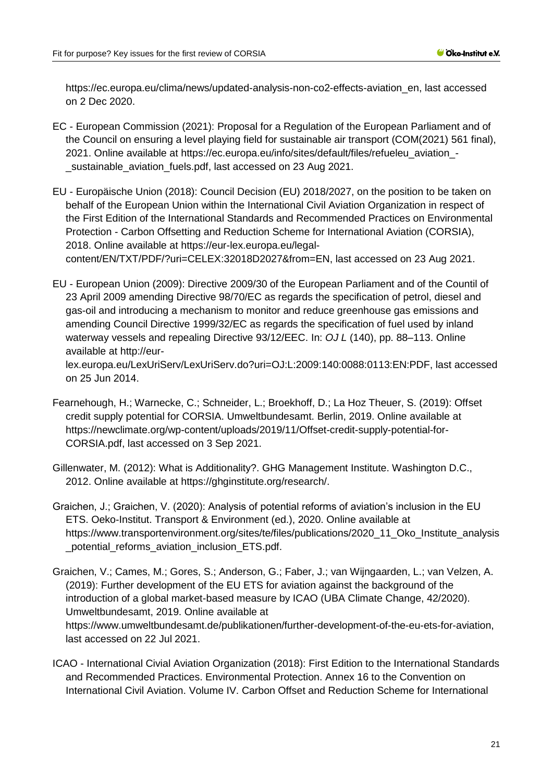https://ec.europa.eu/clima/news/updated-analysis-non-co2-effects-aviation\_en, last accessed on 2 Dec 2020.

- <span id="page-20-3"></span>EC - European Commission (2021): Proposal for a Regulation of the European Parliament and of the Council on ensuring a level playing field for sustainable air transport (COM(2021) 561 final), 2021. Online available at https://ec.europa.eu/info/sites/default/files/refueleu\_aviation\_- \_sustainable\_aviation\_fuels.pdf, last accessed on 23 Aug 2021.
- <span id="page-20-7"></span>EU - Europäische Union (2018): Council Decision (EU) 2018/2027, on the position to be taken on behalf of the European Union within the International Civil Aviation Organization in respect of the First Edition of the International Standards and Recommended Practices on Environmental Protection - Carbon Offsetting and Reduction Scheme for International Aviation (CORSIA), 2018. Online available at https://eur-lex.europa.eu/legalcontent/EN/TXT/PDF/?uri=CELEX:32018D2027&from=EN, last accessed on 23 Aug 2021.
- <span id="page-20-2"></span>EU - European Union (2009): Directive 2009/30 of the European Parliament and of the Countil of 23 April 2009 amending Directive 98/70/EC as regards the specification of petrol, diesel and gas-oil and introducing a mechanism to monitor and reduce greenhouse gas emissions and amending Council Directive 1999/32/EC as regards the specification of fuel used by inland waterway vessels and repealing Directive 93/12/EEC. In: *OJ L* (140), pp. 88–113. Online available at http://eur-

lex.europa.eu/LexUriServ/LexUriServ.do?uri=OJ:L:2009:140:0088:0113:EN:PDF, last accessed on 25 Jun 2014.

- <span id="page-20-4"></span>Fearnehough, H.; Warnecke, C.; Schneider, L.; Broekhoff, D.; La Hoz Theuer, S. (2019): Offset credit supply potential for CORSIA. Umweltbundesamt. Berlin, 2019. Online available at https://newclimate.org/wp-content/uploads/2019/11/Offset-credit-supply-potential-for-CORSIA.pdf, last accessed on 3 Sep 2021.
- <span id="page-20-5"></span>Gillenwater, M. (2012): What is Additionality?. GHG Management Institute. Washington D.C., 2012. Online available at https://ghginstitute.org/research/.
- <span id="page-20-0"></span>Graichen, J.; Graichen, V. (2020): Analysis of potential reforms of aviation's inclusion in the EU ETS. Oeko-Institut. Transport & Environment (ed.), 2020. Online available at https://www.transportenvironment.org/sites/te/files/publications/2020\_11\_Oko\_Institute\_analysis \_potential\_reforms\_aviation\_inclusion\_ETS.pdf.
- <span id="page-20-6"></span>Graichen, V.; Cames, M.; Gores, S.; Anderson, G.; Faber, J.; van Wijngaarden, L.; van Velzen, A. (2019): Further development of the EU ETS for aviation against the background of the introduction of a global market-based measure by ICAO (UBA Climate Change, 42/2020). Umweltbundesamt, 2019. Online available at https://www.umweltbundesamt.de/publikationen/further-development-of-the-eu-ets-for-aviation, last accessed on 22 Jul 2021.
- <span id="page-20-1"></span>ICAO - International Civial Aviation Organization (2018): First Edition to the International Standards and Recommended Practices. Environmental Protection. Annex 16 to the Convention on International Civil Aviation. Volume IV. Carbon Offset and Reduction Scheme for International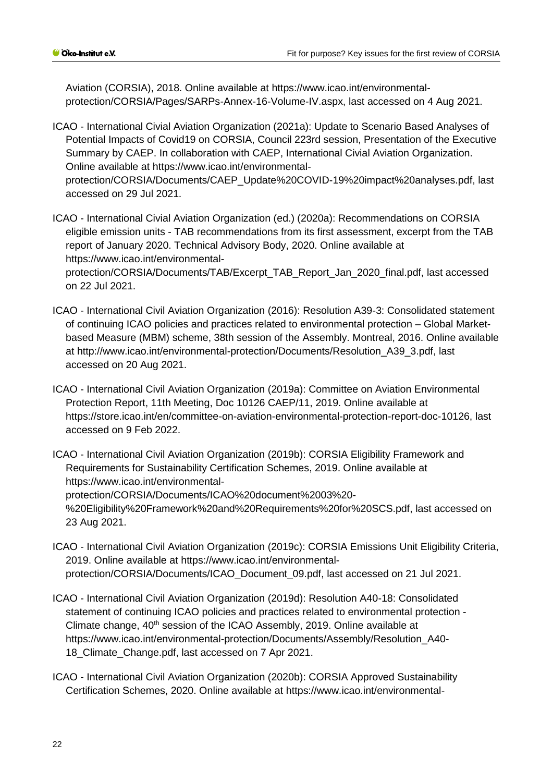Aviation (CORSIA), 2018. Online available at https://www.icao.int/environmentalprotection/CORSIA/Pages/SARPs-Annex-16-Volume-IV.aspx, last accessed on 4 Aug 2021.

<span id="page-21-2"></span>ICAO - International Civial Aviation Organization (2021a): Update to Scenario Based Analyses of Potential Impacts of Covid19 on CORSIA, Council 223rd session, Presentation of the Executive Summary by CAEP. In collaboration with CAEP, International Civial Aviation Organization. Online available at https://www.icao.int/environmentalprotection/CORSIA/Documents/CAEP\_Update%20COVID-19%20impact%20analyses.pdf, last accessed on 29 Jul 2021.

<span id="page-21-7"></span>ICAO - International Civial Aviation Organization (ed.) (2020a): Recommendations on CORSIA eligible emission units - TAB recommendations from its first assessment, excerpt from the TAB report of January 2020. Technical Advisory Body, 2020. Online available at https://www.icao.int/environmentalprotection/CORSIA/Documents/TAB/Excerpt\_TAB\_Report\_Jan\_2020\_final.pdf, last accessed on 22 Jul 2021.

- <span id="page-21-0"></span>ICAO - International Civil Aviation Organization (2016): Resolution A39-3: Consolidated statement of continuing ICAO policies and practices related to environmental protection – Global Marketbased Measure (MBM) scheme, 38th session of the Assembly. Montreal, 2016. Online available at http://www.icao.int/environmental-protection/Documents/Resolution\_A39\_3.pdf, last accessed on 20 Aug 2021.
- <span id="page-21-5"></span>ICAO - International Civil Aviation Organization (2019a): Committee on Aviation Environmental Protection Report, 11th Meeting, Doc 10126 CAEP/11, 2019. Online available at https://store.icao.int/en/committee-on-aviation-environmental-protection-report-doc-10126, last accessed on 9 Feb 2022.

<span id="page-21-4"></span>ICAO - International Civil Aviation Organization (2019b): CORSIA Eligibility Framework and Requirements for Sustainability Certification Schemes, 2019. Online available at https://www.icao.int/environmentalprotection/CORSIA/Documents/ICAO%20document%2003%20- %20Eligibility%20Framework%20and%20Requirements%20for%20SCS.pdf, last accessed on 23 Aug 2021.

- <span id="page-21-6"></span>ICAO - International Civil Aviation Organization (2019c): CORSIA Emissions Unit Eligibility Criteria, 2019. Online available at https://www.icao.int/environmentalprotection/CORSIA/Documents/ICAO\_Document\_09.pdf, last accessed on 21 Jul 2021.
- <span id="page-21-1"></span>ICAO - International Civil Aviation Organization (2019d): Resolution A40-18: Consolidated statement of continuing ICAO policies and practices related to environmental protection - Climate change, 40<sup>th</sup> session of the ICAO Assembly, 2019. Online available at https://www.icao.int/environmental-protection/Documents/Assembly/Resolution\_A40- 18 Climate Change.pdf, last accessed on 7 Apr 2021.
- <span id="page-21-3"></span>ICAO - International Civil Aviation Organization (2020b): CORSIA Approved Sustainability Certification Schemes, 2020. Online available at https://www.icao.int/environmental-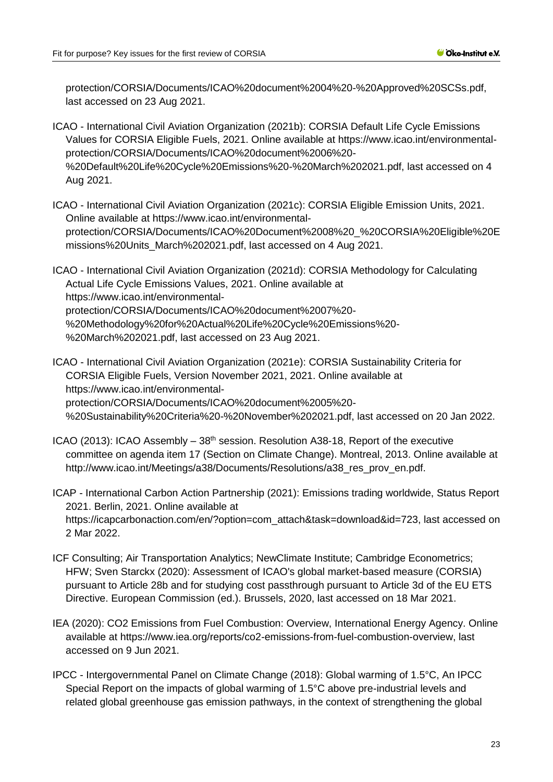protection/CORSIA/Documents/ICAO%20document%2004%20-%20Approved%20SCSs.pdf, last accessed on 23 Aug 2021.

<span id="page-22-5"></span>ICAO - International Civil Aviation Organization (2021b): CORSIA Default Life Cycle Emissions Values for CORSIA Eligible Fuels, 2021. Online available at https://www.icao.int/environmentalprotection/CORSIA/Documents/ICAO%20document%2006%20- %20Default%20Life%20Cycle%20Emissions%20-%20March%202021.pdf, last accessed on 4 Aug 2021.

<span id="page-22-8"></span>ICAO - International Civil Aviation Organization (2021c): CORSIA Eligible Emission Units, 2021. Online available at https://www.icao.int/environmentalprotection/CORSIA/Documents/ICAO%20Document%2008%20\_%20CORSIA%20Eligible%20E missions%20Units\_March%202021.pdf, last accessed on 4 Aug 2021.

<span id="page-22-6"></span>ICAO - International Civil Aviation Organization (2021d): CORSIA Methodology for Calculating Actual Life Cycle Emissions Values, 2021. Online available at https://www.icao.int/environmentalprotection/CORSIA/Documents/ICAO%20document%2007%20- %20Methodology%20for%20Actual%20Life%20Cycle%20Emissions%20- %20March%202021.pdf, last accessed on 23 Aug 2021.

<span id="page-22-4"></span>ICAO - International Civil Aviation Organization (2021e): CORSIA Sustainability Criteria for CORSIA Eligible Fuels, Version November 2021, 2021. Online available at https://www.icao.int/environmentalprotection/CORSIA/Documents/ICAO%20document%2005%20- %20Sustainability%20Criteria%20-%20November%202021.pdf, last accessed on 20 Jan 2022.

<span id="page-22-1"></span>ICAO (2013): ICAO Assembly  $-38<sup>th</sup>$  session. Resolution A38-18, Report of the executive committee on agenda item 17 (Section on Climate Change). Montreal, 2013. Online available at http://www.icao.int/Meetings/a38/Documents/Resolutions/a38\_res\_prov\_en.pdf.

<span id="page-22-7"></span>ICAP - International Carbon Action Partnership (2021): Emissions trading worldwide, Status Report 2021. Berlin, 2021. Online available at https://icapcarbonaction.com/en/?option=com\_attach&task=download&id=723, last accessed on 2 Mar 2022.

- <span id="page-22-0"></span>ICF Consulting; Air Transportation Analytics; NewClimate Institute; Cambridge Econometrics; HFW; Sven Starckx (2020): Assessment of ICAO's global market-based measure (CORSIA) pursuant to Article 28b and for studying cost passthrough pursuant to Article 3d of the EU ETS Directive. European Commission (ed.). Brussels, 2020, last accessed on 18 Mar 2021.
- <span id="page-22-3"></span>IEA (2020): CO2 Emissions from Fuel Combustion: Overview, International Energy Agency. Online available at https://www.iea.org/reports/co2-emissions-from-fuel-combustion-overview, last accessed on 9 Jun 2021.
- <span id="page-22-2"></span>IPCC - Intergovernmental Panel on Climate Change (2018): Global warming of 1.5°C, An IPCC Special Report on the impacts of global warming of 1.5°C above pre-industrial levels and related global greenhouse gas emission pathways, in the context of strengthening the global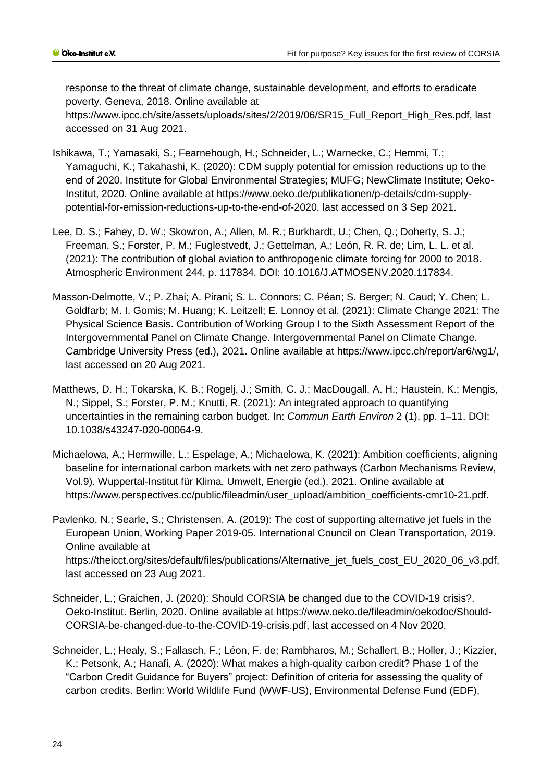response to the threat of climate change, sustainable development, and efforts to eradicate poverty. Geneva, 2018. Online available at https://www.ipcc.ch/site/assets/uploads/sites/2/2019/06/SR15\_Full\_Report\_High\_Res.pdf, last accessed on 31 Aug 2021.

- <span id="page-23-5"></span>Ishikawa, T.; Yamasaki, S.; Fearnehough, H.; Schneider, L.; Warnecke, C.; Hemmi, T.; Yamaguchi, K.; Takahashi, K. (2020): CDM supply potential for emission reductions up to the end of 2020. Institute for Global Environmental Strategies; MUFG; NewClimate Institute; Oeko-Institut, 2020. Online available at https://www.oeko.de/publikationen/p-details/cdm-supplypotential-for-emission-reductions-up-to-the-end-of-2020, last accessed on 3 Sep 2021.
- <span id="page-23-0"></span>Lee, D. S.; Fahey, D. W.; Skowron, A.; Allen, M. R.; Burkhardt, U.; Chen, Q.; Doherty, S. J.; Freeman, S.; Forster, P. M.; Fuglestvedt, J.; Gettelman, A.; León, R. R. de; Lim, L. L. et al. (2021): The contribution of global aviation to anthropogenic climate forcing for 2000 to 2018. Atmospheric Environment 244, p. 117834. DOI: 10.1016/J.ATMOSENV.2020.117834.
- <span id="page-23-1"></span>Masson-Delmotte, V.; P. Zhai; A. Pirani; S. L. Connors; C. Péan; S. Berger; N. Caud; Y. Chen; L. Goldfarb; M. I. Gomis; M. Huang; K. Leitzell; E. Lonnoy et al. (2021): Climate Change 2021: The Physical Science Basis. Contribution of Working Group I to the Sixth Assessment Report of the Intergovernmental Panel on Climate Change. Intergovernmental Panel on Climate Change. Cambridge University Press (ed.), 2021. Online available at https://www.ipcc.ch/report/ar6/wg1/, last accessed on 20 Aug 2021.
- <span id="page-23-2"></span>Matthews, D. H.; Tokarska, K. B.; Rogelj, J.; Smith, C. J.; MacDougall, A. H.; Haustein, K.; Mengis, N.; Sippel, S.; Forster, P. M.; Knutti, R. (2021): An integrated approach to quantifying uncertainties in the remaining carbon budget. In: *Commun Earth Environ* 2 (1), pp. 1–11. DOI: 10.1038/s43247-020-00064-9.
- <span id="page-23-7"></span>Michaelowa, A.; Hermwille, L.; Espelage, A.; Michaelowa, K. (2021): Ambition coefficients, aligning baseline for international carbon markets with net zero pathways (Carbon Mechanisms Review, Vol.9). Wuppertal-Institut für Klima, Umwelt, Energie (ed.), 2021. Online available at https://www.perspectives.cc/public/fileadmin/user\_upload/ambition\_coefficients-cmr10-21.pdf.
- <span id="page-23-4"></span>Pavlenko, N.; Searle, S.; Christensen, A. (2019): The cost of supporting alternative jet fuels in the European Union, Working Paper 2019-05. International Council on Clean Transportation, 2019. Online available at https://theicct.org/sites/default/files/publications/Alternative\_jet\_fuels\_cost\_EU\_2020\_06\_v3.pdf, last accessed on 23 Aug 2021.
- <span id="page-23-3"></span>Schneider, L.; Graichen, J. (2020): Should CORSIA be changed due to the COVID-19 crisis?. Oeko-Institut. Berlin, 2020. Online available at https://www.oeko.de/fileadmin/oekodoc/Should-CORSIA-be-changed-due-to-the-COVID-19-crisis.pdf, last accessed on 4 Nov 2020.
- <span id="page-23-6"></span>Schneider, L.; Healy, S.; Fallasch, F.; Léon, F. de; Rambharos, M.; Schallert, B.; Holler, J.; Kizzier, K.; Petsonk, A.; Hanafi, A. (2020): What makes a high-quality carbon credit? Phase 1 of the "Carbon Credit Guidance for Buyers" project: Definition of criteria for assessing the quality of carbon credits. Berlin: World Wildlife Fund (WWF-US), Environmental Defense Fund (EDF),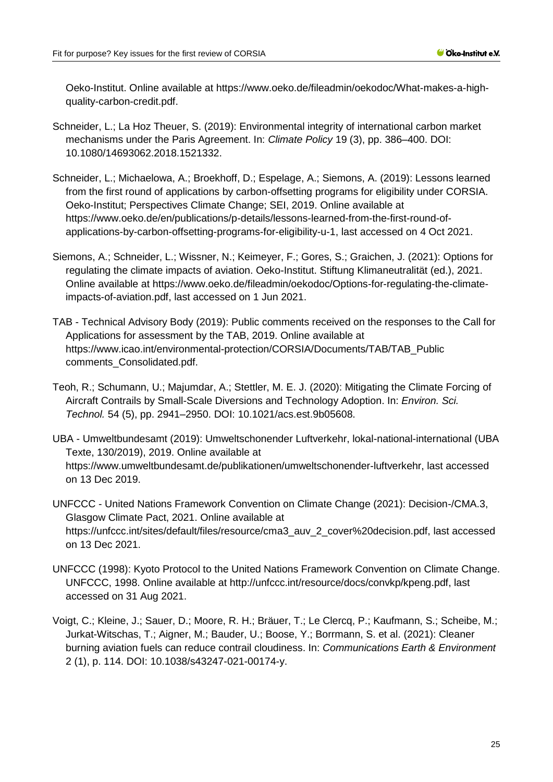Oeko-Institut. Online available at https://www.oeko.de/fileadmin/oekodoc/What-makes-a-highquality-carbon-credit.pdf.

- <span id="page-24-6"></span>Schneider, L.; La Hoz Theuer, S. (2019): Environmental integrity of international carbon market mechanisms under the Paris Agreement. In: *Climate Policy* 19 (3), pp. 386–400. DOI: 10.1080/14693062.2018.1521332.
- <span id="page-24-8"></span>Schneider, L.; Michaelowa, A.; Broekhoff, D.; Espelage, A.; Siemons, A. (2019): Lessons learned from the first round of applications by carbon-offsetting programs for eligibility under CORSIA. Oeko-Institut; Perspectives Climate Change; SEI, 2019. Online available at https://www.oeko.de/en/publications/p-details/lessons-learned-from-the-first-round-ofapplications-by-carbon-offsetting-programs-for-eligibility-u-1, last accessed on 4 Oct 2021.
- <span id="page-24-1"></span>Siemons, A.; Schneider, L.; Wissner, N.; Keimeyer, F.; Gores, S.; Graichen, J. (2021): Options for regulating the climate impacts of aviation. Oeko-Institut. Stiftung Klimaneutralität (ed.), 2021. Online available at https://www.oeko.de/fileadmin/oekodoc/Options-for-regulating-the-climateimpacts-of-aviation.pdf, last accessed on 1 Jun 2021.
- <span id="page-24-7"></span>TAB - Technical Advisory Body (2019): Public comments received on the responses to the Call for Applications for assessment by the TAB, 2019. Online available at https://www.icao.int/environmental-protection/CORSIA/Documents/TAB/TAB\_Public comments\_Consolidated.pdf.
- <span id="page-24-3"></span>Teoh, R.; Schumann, U.; Majumdar, A.; Stettler, M. E. J. (2020): Mitigating the Climate Forcing of Aircraft Contrails by Small-Scale Diversions and Technology Adoption. In: *Environ. Sci. Technol.* 54 (5), pp. 2941–2950. DOI: 10.1021/acs.est.9b05608.
- <span id="page-24-2"></span>UBA - Umweltbundesamt (2019): Umweltschonender Luftverkehr, lokal-national-international (UBA Texte, 130/2019), 2019. Online available at https://www.umweltbundesamt.de/publikationen/umweltschonender-luftverkehr, last accessed on 13 Dec 2019.
- <span id="page-24-5"></span>UNFCCC - United Nations Framework Convention on Climate Change (2021): Decision-/CMA.3, Glasgow Climate Pact, 2021. Online available at https://unfccc.int/sites/default/files/resource/cma3\_auv\_2\_cover%20decision.pdf, last accessed on 13 Dec 2021.
- <span id="page-24-0"></span>UNFCCC (1998): Kyoto Protocol to the United Nations Framework Convention on Climate Change. UNFCCC, 1998. Online available at http://unfccc.int/resource/docs/convkp/kpeng.pdf, last accessed on 31 Aug 2021.
- <span id="page-24-4"></span>Voigt, C.; Kleine, J.; Sauer, D.; Moore, R. H.; Bräuer, T.; Le Clercq, P.; Kaufmann, S.; Scheibe, M.; Jurkat-Witschas, T.; Aigner, M.; Bauder, U.; Boose, Y.; Borrmann, S. et al. (2021): Cleaner burning aviation fuels can reduce contrail cloudiness. In: *Communications Earth & Environment*  2 (1), p. 114. DOI: 10.1038/s43247-021-00174-y.